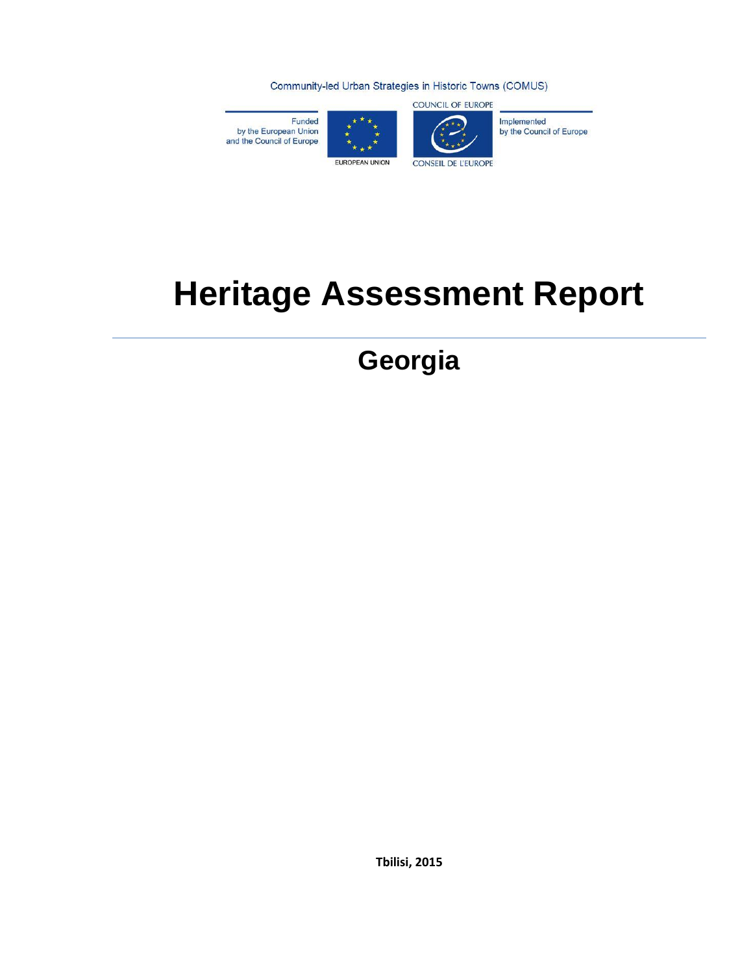Community-led Urban Strategies in Historic Towns (COMUS)

Funded by the European Union<br>and the Council of Europe





**COUNCIL OF EUROPE** 

Implemented by the Council of Europe

# **Heritage Assessment Report**

**Georgia**

**Tbilisi, 2015**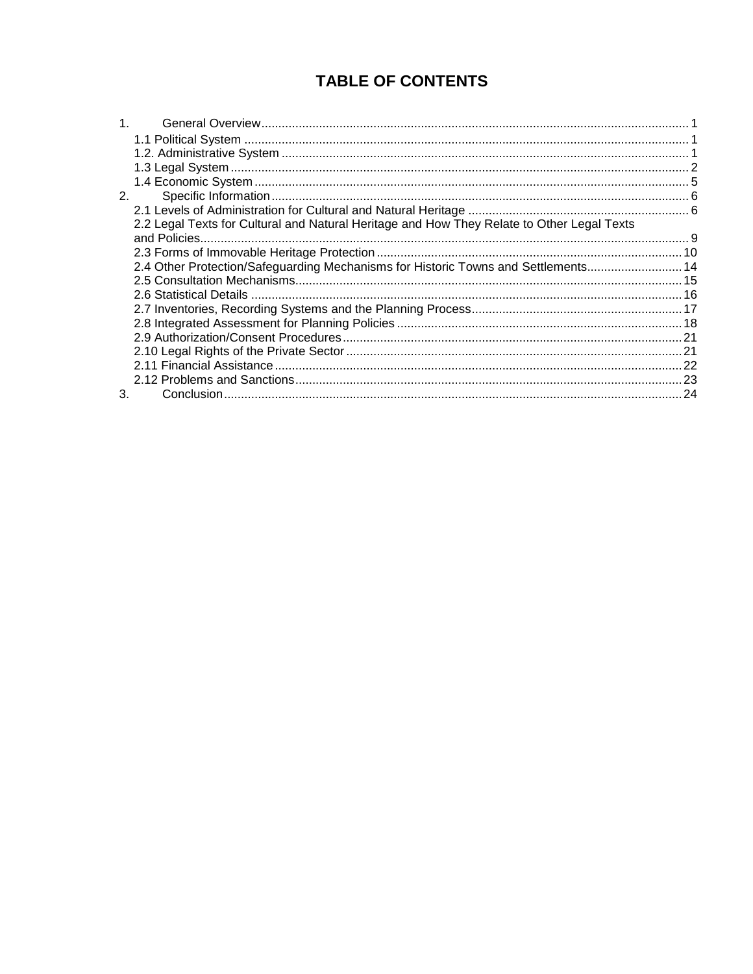# **TABLE OF CONTENTS**

| 1. |                                                                                            |  |
|----|--------------------------------------------------------------------------------------------|--|
|    |                                                                                            |  |
|    |                                                                                            |  |
|    |                                                                                            |  |
|    |                                                                                            |  |
| 2. |                                                                                            |  |
|    |                                                                                            |  |
|    | 2.2 Legal Texts for Cultural and Natural Heritage and How They Relate to Other Legal Texts |  |
|    |                                                                                            |  |
|    |                                                                                            |  |
|    | 2.4 Other Protection/Safeguarding Mechanisms for Historic Towns and Settlements 14         |  |
|    |                                                                                            |  |
|    |                                                                                            |  |
|    |                                                                                            |  |
|    |                                                                                            |  |
|    |                                                                                            |  |
|    |                                                                                            |  |
|    |                                                                                            |  |
|    |                                                                                            |  |
| 3. |                                                                                            |  |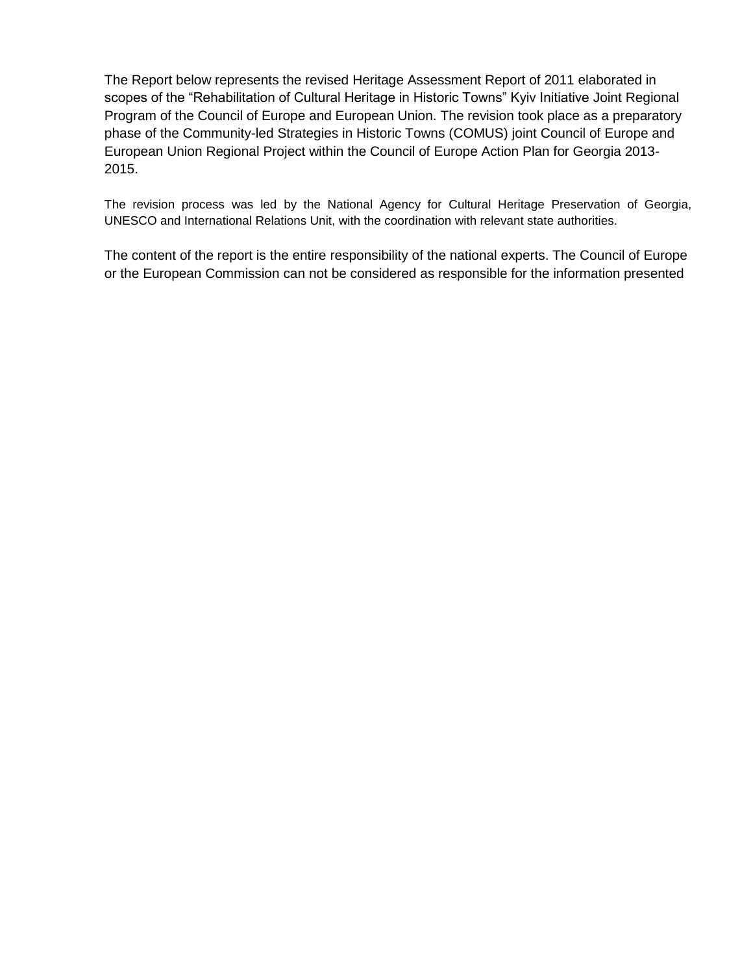The Report below represents the revised Heritage Assessment Report of 2011 elaborated in scopes of the "Rehabilitation of Cultural Heritage in Historic Towns" Kyiv Initiative Joint Regional Program of the Council of Europe and European Union. The revision took place as a preparatory phase of the Community-led Strategies in Historic Towns (COMUS) joint Council of Europe and European Union Regional Project within the Council of Europe Action Plan for Georgia 2013- 2015.

The revision process was led by the National Agency for Cultural Heritage Preservation of Georgia, UNESCO and International Relations Unit, with the coordination with relevant state authorities.

The content of the report is the entire responsibility of the national experts. The Council of Europe or the European Commission can not be considered as responsible for the information presented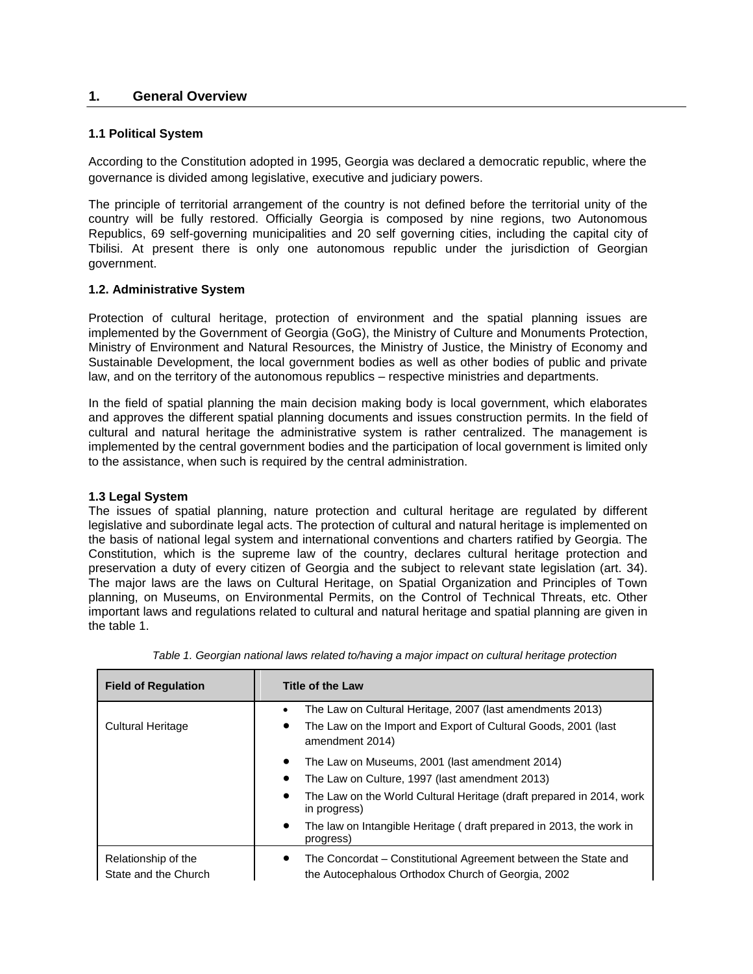# **1. General Overview**

#### **1.1 Political System**

According to the Constitution adopted in 1995, Georgia was declared a democratic republic, where the governance is divided among legislative, executive and judiciary powers.

The principle of territorial arrangement of the country is not defined before the territorial unity of the country will be fully restored. Officially Georgia is composed by nine regions, two Autonomous Republics, 69 self-governing municipalities and 20 self governing cities, including the capital city of Tbilisi. At present there is only one autonomous republic under the jurisdiction of Georgian government.

# **1.2. Administrative System**

Protection of cultural heritage, protection of environment and the spatial planning issues are implemented by the Government of Georgia (GoG), the Ministry of Culture and Monuments Protection, Ministry of Environment and Natural Resources, the Ministry of Justice, the Ministry of Economy and Sustainable Development, the local government bodies as well as other bodies of public and private law, and on the territory of the autonomous republics – respective ministries and departments.

In the field of spatial planning the main decision making body is local government, which elaborates and approves the different spatial planning documents and issues construction permits. In the field of cultural and natural heritage the administrative system is rather centralized. The management is implemented by the central government bodies and the participation of local government is limited only to the assistance, when such is required by the central administration.

#### **1.3 Legal System**

The issues of spatial planning, nature protection and cultural heritage are regulated by different legislative and subordinate legal acts. The protection of cultural and natural heritage is implemented on the basis of national legal system and international conventions and charters ratified by Georgia. The Constitution, which is the supreme law of the country, declares cultural heritage protection and preservation a duty of every citizen of Georgia and the subject to relevant state legislation (art. 34). The major laws are the laws on Cultural Heritage, on Spatial Organization and Principles of Town planning, on Museums, on Environmental Permits, on the Control of Technical Threats, etc. Other important laws and regulations related to cultural and natural heritage and spatial planning are given in the table 1.

| <b>Field of Regulation</b>                  | <b>Title of the Law</b>                                                                                                                                                                                            |
|---------------------------------------------|--------------------------------------------------------------------------------------------------------------------------------------------------------------------------------------------------------------------|
| <b>Cultural Heritage</b>                    | The Law on Cultural Heritage, 2007 (last amendments 2013)<br>$\bullet$<br>The Law on the Import and Export of Cultural Goods, 2001 (last<br>$\bullet$<br>amendment 2014)                                           |
|                                             | The Law on Museums, 2001 (last amendment 2014)<br>$\bullet$<br>The Law on Culture, 1997 (last amendment 2013)<br>$\bullet$<br>The Law on the World Cultural Heritage (draft prepared in 2014, work<br>in progress) |
|                                             | The law on Intangible Heritage (draft prepared in 2013, the work in<br>$\bullet$<br>progress)                                                                                                                      |
| Relationship of the<br>State and the Church | The Concordat – Constitutional Agreement between the State and<br>$\bullet$<br>the Autocephalous Orthodox Church of Georgia, 2002                                                                                  |

*Table 1. Georgian national laws related to/having a major impact on cultural heritage protection*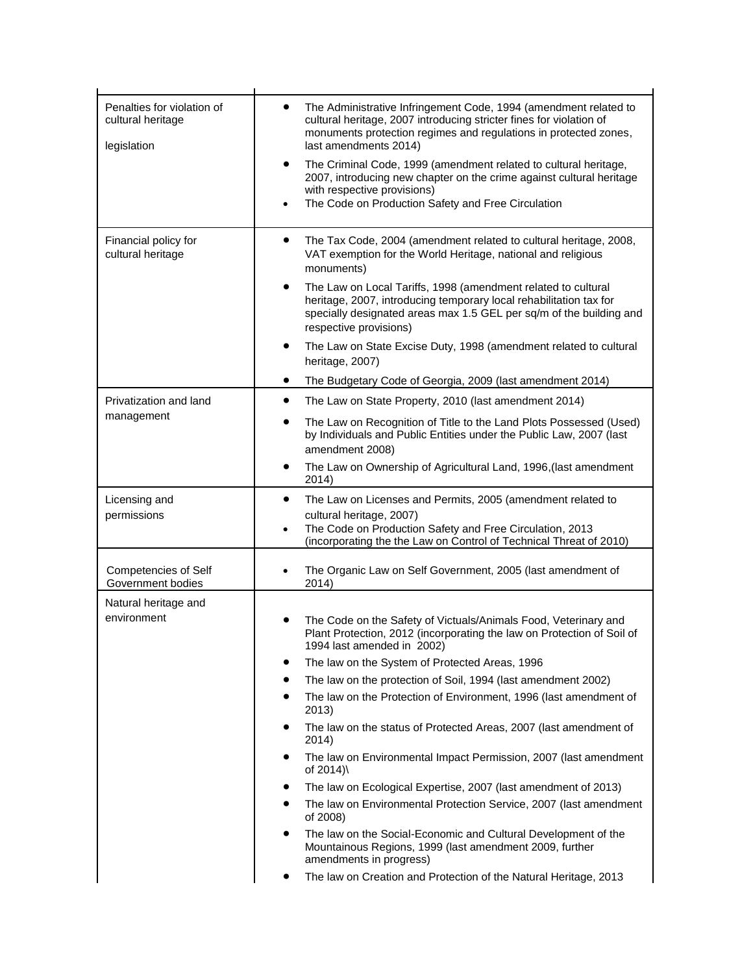| Penalties for violation of<br>cultural heritage<br>legislation | The Administrative Infringement Code, 1994 (amendment related to<br>$\bullet$<br>cultural heritage, 2007 introducing stricter fines for violation of<br>monuments protection regimes and regulations in protected zones,<br>last amendments 2014)<br>The Criminal Code, 1999 (amendment related to cultural heritage,<br>٠<br>2007, introducing new chapter on the crime against cultural heritage<br>with respective provisions)<br>The Code on Production Safety and Free Circulation |
|----------------------------------------------------------------|-----------------------------------------------------------------------------------------------------------------------------------------------------------------------------------------------------------------------------------------------------------------------------------------------------------------------------------------------------------------------------------------------------------------------------------------------------------------------------------------|
|                                                                | $\bullet$                                                                                                                                                                                                                                                                                                                                                                                                                                                                               |
| Financial policy for<br>cultural heritage                      | The Tax Code, 2004 (amendment related to cultural heritage, 2008,<br>٠<br>VAT exemption for the World Heritage, national and religious<br>monuments)                                                                                                                                                                                                                                                                                                                                    |
|                                                                | The Law on Local Tariffs, 1998 (amendment related to cultural<br>٠<br>heritage, 2007, introducing temporary local rehabilitation tax for<br>specially designated areas max 1.5 GEL per sq/m of the building and<br>respective provisions)                                                                                                                                                                                                                                               |
|                                                                | The Law on State Excise Duty, 1998 (amendment related to cultural<br>٠<br>heritage, 2007)                                                                                                                                                                                                                                                                                                                                                                                               |
|                                                                | The Budgetary Code of Georgia, 2009 (last amendment 2014)<br>$\bullet$                                                                                                                                                                                                                                                                                                                                                                                                                  |
| Privatization and land                                         | The Law on State Property, 2010 (last amendment 2014)<br>٠                                                                                                                                                                                                                                                                                                                                                                                                                              |
| management                                                     | The Law on Recognition of Title to the Land Plots Possessed (Used)<br>$\bullet$<br>by Individuals and Public Entities under the Public Law, 2007 (last<br>amendment 2008)                                                                                                                                                                                                                                                                                                               |
|                                                                | The Law on Ownership of Agricultural Land, 1996, (last amendment<br>٠<br>2014)                                                                                                                                                                                                                                                                                                                                                                                                          |
| Licensing and<br>permissions                                   | The Law on Licenses and Permits, 2005 (amendment related to<br>$\bullet$<br>cultural heritage, 2007)<br>The Code on Production Safety and Free Circulation, 2013<br>$\bullet$<br>(incorporating the the Law on Control of Technical Threat of 2010)                                                                                                                                                                                                                                     |
| Competencies of Self<br>Government bodies                      | The Organic Law on Self Government, 2005 (last amendment of<br>2014)                                                                                                                                                                                                                                                                                                                                                                                                                    |
| Natural heritage and<br>environment                            | The Code on the Safety of Victuals/Animals Food, Veterinary and<br>Plant Protection, 2012 (incorporating the law on Protection of Soil of<br>1994 last amended in 2002)                                                                                                                                                                                                                                                                                                                 |
|                                                                | The law on the System of Protected Areas, 1996                                                                                                                                                                                                                                                                                                                                                                                                                                          |
|                                                                | The law on the protection of Soil, 1994 (last amendment 2002)                                                                                                                                                                                                                                                                                                                                                                                                                           |
|                                                                | The law on the Protection of Environment, 1996 (last amendment of<br>$\bullet$<br>2013)                                                                                                                                                                                                                                                                                                                                                                                                 |
|                                                                | The law on the status of Protected Areas, 2007 (last amendment of<br>٠<br>2014)                                                                                                                                                                                                                                                                                                                                                                                                         |
|                                                                | The law on Environmental Impact Permission, 2007 (last amendment<br>٠<br>of 2014)\                                                                                                                                                                                                                                                                                                                                                                                                      |
|                                                                | The law on Ecological Expertise, 2007 (last amendment of 2013)<br>٠                                                                                                                                                                                                                                                                                                                                                                                                                     |
|                                                                | The law on Environmental Protection Service, 2007 (last amendment<br>٠<br>of 2008)                                                                                                                                                                                                                                                                                                                                                                                                      |
|                                                                | The law on the Social-Economic and Cultural Development of the<br>٠<br>Mountainous Regions, 1999 (last amendment 2009, further<br>amendments in progress)                                                                                                                                                                                                                                                                                                                               |
|                                                                | The law on Creation and Protection of the Natural Heritage, 2013                                                                                                                                                                                                                                                                                                                                                                                                                        |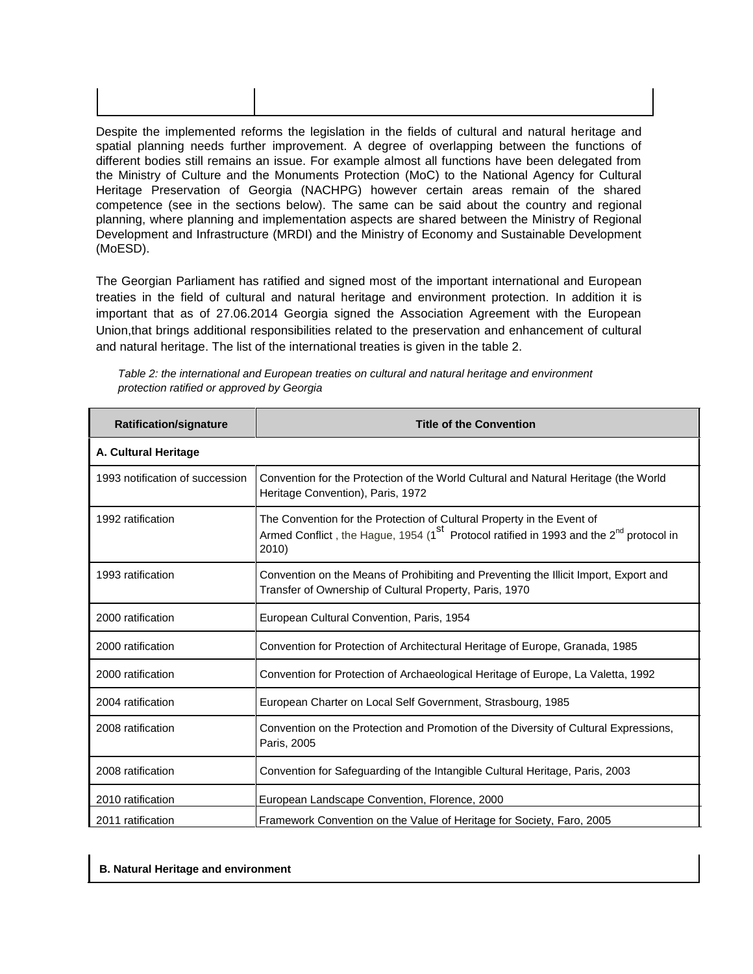Despite the implemented reforms the legislation in the fields of cultural and natural heritage and spatial planning needs further improvement. A degree of overlapping between the functions of different bodies still remains an issue. For example almost all functions have been delegated from the Ministry of Culture and the Monuments Protection (MoC) to the National Agency for Cultural Heritage Preservation of Georgia (NACHPG) however certain areas remain of the shared competence (see in the sections below). The same can be said about the country and regional planning, where planning and implementation aspects are shared between the Ministry of Regional Development and Infrastructure (MRDI) and the Ministry of Economy and Sustainable Development (MoESD).

The Georgian Parliament has ratified and signed most of the important international and European treaties in the field of cultural and natural heritage and environment protection. In addition it is important that as of 27.06.2014 Georgia signed the Association Agreement with the European Union,that brings additional responsibilities related to the preservation and enhancement of cultural and natural heritage. The list of the international treaties is given in the table 2.

| <b>Ratification/signature</b>   | <b>Title of the Convention</b>                                                                                                                                                                    |
|---------------------------------|---------------------------------------------------------------------------------------------------------------------------------------------------------------------------------------------------|
| A. Cultural Heritage            |                                                                                                                                                                                                   |
| 1993 notification of succession | Convention for the Protection of the World Cultural and Natural Heritage (the World<br>Heritage Convention), Paris, 1972                                                                          |
| 1992 ratification               | The Convention for the Protection of Cultural Property in the Event of<br>Armed Conflict, the Hague, 1954 (1 <sup>st</sup> Protocol ratified in 1993 and the 2 <sup>nd</sup> protocol in<br>2010) |
| 1993 ratification               | Convention on the Means of Prohibiting and Preventing the Illicit Import, Export and<br>Transfer of Ownership of Cultural Property, Paris, 1970                                                   |
| 2000 ratification               | European Cultural Convention, Paris, 1954                                                                                                                                                         |
| 2000 ratification               | Convention for Protection of Architectural Heritage of Europe, Granada, 1985                                                                                                                      |
| 2000 ratification               | Convention for Protection of Archaeological Heritage of Europe, La Valetta, 1992                                                                                                                  |
| 2004 ratification               | European Charter on Local Self Government, Strasbourg, 1985                                                                                                                                       |
| 2008 ratification               | Convention on the Protection and Promotion of the Diversity of Cultural Expressions,<br>Paris, 2005                                                                                               |
| 2008 ratification               | Convention for Safeguarding of the Intangible Cultural Heritage, Paris, 2003                                                                                                                      |
| 2010 ratification               | European Landscape Convention, Florence, 2000                                                                                                                                                     |
| 2011 ratification               | Framework Convention on the Value of Heritage for Society, Faro, 2005                                                                                                                             |

*Table 2: the international and European treaties on cultural and natural heritage and environment protection ratified or approved by Georgia*

#### **B. Natural Heritage and environment**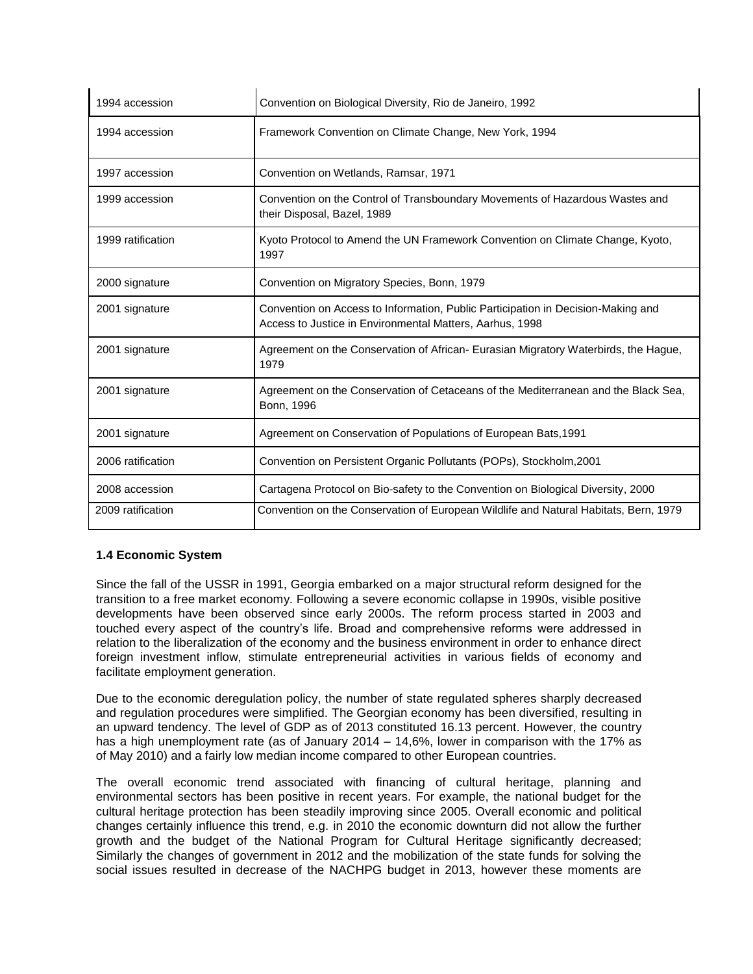| 1994 accession    | Convention on Biological Diversity, Rio de Janeiro, 1992                                                                                     |  |
|-------------------|----------------------------------------------------------------------------------------------------------------------------------------------|--|
| 1994 accession    | Framework Convention on Climate Change, New York, 1994                                                                                       |  |
| 1997 accession    | Convention on Wetlands, Ramsar, 1971                                                                                                         |  |
| 1999 accession    | Convention on the Control of Transboundary Movements of Hazardous Wastes and<br>their Disposal, Bazel, 1989                                  |  |
| 1999 ratification | Kyoto Protocol to Amend the UN Framework Convention on Climate Change, Kyoto,<br>1997                                                        |  |
| 2000 signature    | Convention on Migratory Species, Bonn, 1979                                                                                                  |  |
| 2001 signature    | Convention on Access to Information, Public Participation in Decision-Making and<br>Access to Justice in Environmental Matters, Aarhus, 1998 |  |
| 2001 signature    | Agreement on the Conservation of African- Eurasian Migratory Waterbirds, the Hague,<br>1979                                                  |  |
| 2001 signature    | Agreement on the Conservation of Cetaceans of the Mediterranean and the Black Sea,<br>Bonn, 1996                                             |  |
| 2001 signature    | Agreement on Conservation of Populations of European Bats, 1991                                                                              |  |
| 2006 ratification | Convention on Persistent Organic Pollutants (POPs), Stockholm, 2001                                                                          |  |
| 2008 accession    | Cartagena Protocol on Bio-safety to the Convention on Biological Diversity, 2000                                                             |  |
| 2009 ratification | Convention on the Conservation of European Wildlife and Natural Habitats, Bern, 1979                                                         |  |

# **1.4 Economic System**

Since the fall of the USSR in 1991, Georgia embarked on a major structural reform designed for the transition to a free market economy. Following a severe economic collapse in 1990s, visible positive developments have been observed since early 2000s. The reform process started in 2003 and touched every aspect of the country's life. Broad and comprehensive reforms were addressed in relation to the liberalization of the economy and the business environment in order to enhance direct foreign investment inflow, stimulate entrepreneurial activities in various fields of economy and facilitate employment generation.

Due to the economic deregulation policy, the number of state regulated spheres sharply decreased and regulation procedures were simplified. The Georgian economy has been diversified, resulting in an upward tendency. The level of GDP as of 2013 constituted 16.13 percent. However, the country has a high unemployment rate (as of January 2014 – 14,6%, lower in comparison with the 17% as of May 2010) and a fairly low median income compared to other European countries.

The overall economic trend associated with financing of cultural heritage, planning and environmental sectors has been positive in recent years. For example, the national budget for the cultural heritage protection has been steadily improving since 2005. Overall economic and political changes certainly influence this trend, e.g. in 2010 the economic downturn did not allow the further growth and the budget of the National Program for Cultural Heritage significantly decreased; Similarly the changes of government in 2012 and the mobilization of the state funds for solving the social issues resulted in decrease of the NACHPG budget in 2013, however these moments are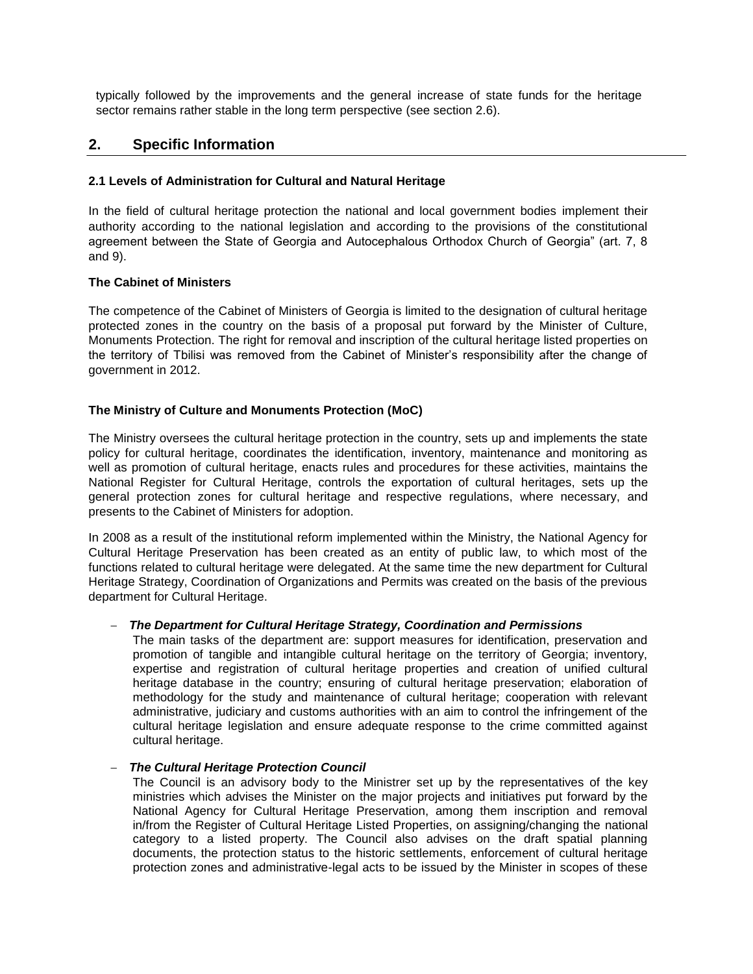typically followed by the improvements and the general increase of state funds for the heritage sector remains rather stable in the long term perspective (see section 2.6).

# **2. Specific Information**

# **2.1 Levels of Administration for Cultural and Natural Heritage**

In the field of cultural heritage protection the national and local government bodies implement their authority according to the national legislation and according to the provisions of the constitutional agreement between the State of Georgia and Autocephalous Orthodox Church of Georgia" (art. 7, 8 and 9).

# **The Cabinet of Ministers**

The competence of the Cabinet of Ministers of Georgia is limited to the designation of cultural heritage protected zones in the country on the basis of a proposal put forward by the Minister of Culture, Monuments Protection. The right for removal and inscription of the cultural heritage listed properties on the territory of Tbilisi was removed from the Cabinet of Minister's responsibility after the change of government in 2012.

# **The Ministry of Culture and Monuments Protection (MoC)**

The Ministry oversees the cultural heritage protection in the country, sets up and implements the state policy for cultural heritage, coordinates the identification, inventory, maintenance and monitoring as well as promotion of cultural heritage, enacts rules and procedures for these activities, maintains the National Register for Cultural Heritage, controls the exportation of cultural heritages, sets up the general protection zones for cultural heritage and respective regulations, where necessary, and presents to the Cabinet of Ministers for adoption.

In 2008 as a result of the institutional reform implemented within the Ministry, the National Agency for Cultural Heritage Preservation has been created as an entity of public law, to which most of the functions related to cultural heritage were delegated. At the same time the new department for Cultural Heritage Strategy, Coordination of Organizations and Permits was created on the basis of the previous department for Cultural Heritage.

#### – *The Department for Cultural Heritage Strategy, Coordination and Permissions*

The main tasks of the department are: support measures for identification, preservation and promotion of tangible and intangible cultural heritage on the territory of Georgia; inventory, expertise and registration of cultural heritage properties and creation of unified cultural heritage database in the country; ensuring of cultural heritage preservation; elaboration of methodology for the study and maintenance of cultural heritage; cooperation with relevant administrative, judiciary and customs authorities with an aim to control the infringement of the cultural heritage legislation and ensure adequate response to the crime committed against cultural heritage.

#### – *The Cultural Heritage Protection Council*

The Council is an advisory body to the Ministrer set up by the representatives of the key ministries which advises the Minister on the major projects and initiatives put forward by the National Agency for Cultural Heritage Preservation, among them inscription and removal in/from the Register of Cultural Heritage Listed Properties, on assigning/changing the national category to a listed property. The Council also advises on the draft spatial planning documents, the protection status to the historic settlements, enforcement of cultural heritage protection zones and administrative-legal acts to be issued by the Minister in scopes of these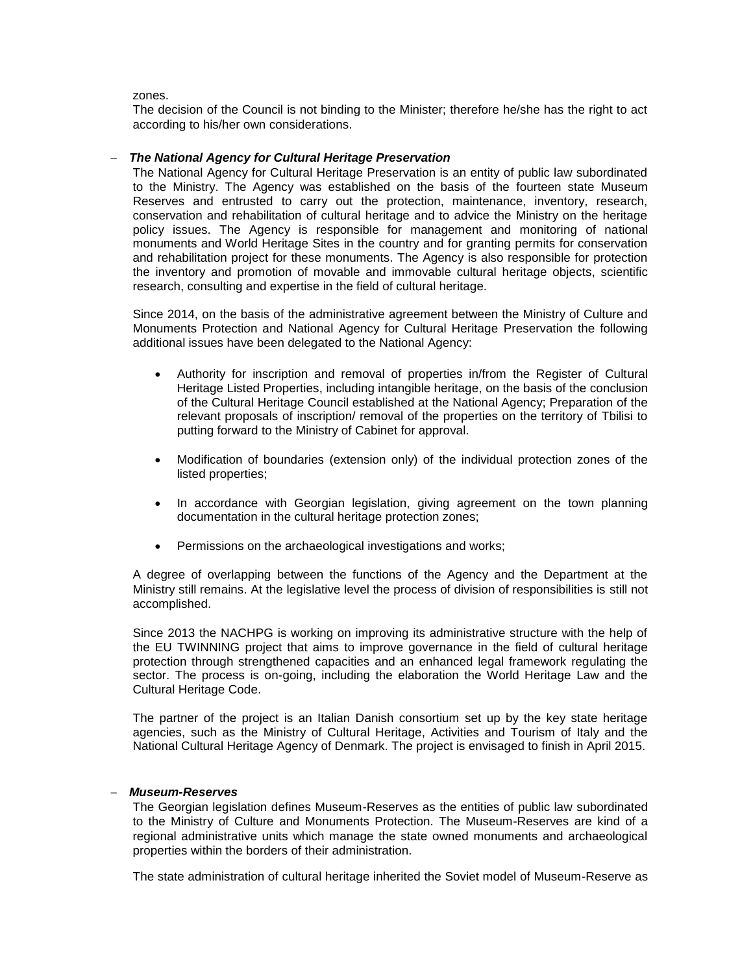#### zones.

The decision of the Council is not binding to the Minister; therefore he/she has the right to act according to his/her own considerations.

#### – *The National Agency for Cultural Heritage Preservation*

The National Agency for Cultural Heritage Preservation is an entity of public law subordinated to the Ministry. The Agency was established on the basis of the fourteen state Museum Reserves and entrusted to carry out the protection, maintenance, inventory, research, conservation and rehabilitation of cultural heritage and to advice the Ministry on the heritage policy issues. The Agency is responsible for management and monitoring of national monuments and World Heritage Sites in the country and for granting permits for conservation and rehabilitation project for these monuments. The Agency is also responsible for protection the inventory and promotion of movable and immovable cultural heritage objects, scientific research, consulting and expertise in the field of cultural heritage.

Since 2014, on the basis of the administrative agreement between the Ministry of Culture and Monuments Protection and National Agency for Cultural Heritage Preservation the following additional issues have been delegated to the National Agency:

- Authority for inscription and removal of properties in/from the Register of Cultural Heritage Listed Properties, including intangible heritage, on the basis of the conclusion of the Cultural Heritage Council established at the National Agency; Preparation of the relevant proposals of inscription/ removal of the properties on the territory of Tbilisi to putting forward to the Ministry of Cabinet for approval.
- Modification of boundaries (extension only) of the individual protection zones of the listed properties;
- In accordance with Georgian legislation, giving agreement on the town planning documentation in the cultural heritage protection zones;
- Permissions on the archaeological investigations and works;

A degree of overlapping between the functions of the Agency and the Department at the Ministry still remains. At the legislative level the process of division of responsibilities is still not accomplished.

Since 2013 the NACHPG is working on improving its administrative structure with the help of the EU TWINNING project that aims to improve governance in the field of cultural heritage protection through strengthened capacities and an enhanced legal framework regulating the sector. The process is on-going, including the elaboration the World Heritage Law and the Cultural Heritage Code.

The partner of the project is an Italian Danish consortium set up by the key state heritage agencies, such as the Ministry of Cultural Heritage, Activities and Tourism of Italy and the National Cultural Heritage Agency of Denmark. The project is envisaged to finish in April 2015.

#### – *Museum-Reserves*

The Georgian legislation defines Museum-Reserves as the entities of public law subordinated to the Ministry of Culture and Monuments Protection. The Museum-Reserves are kind of a regional administrative units which manage the state owned monuments and archaeological properties within the borders of their administration.

The state administration of cultural heritage inherited the Soviet model of Museum-Reserve as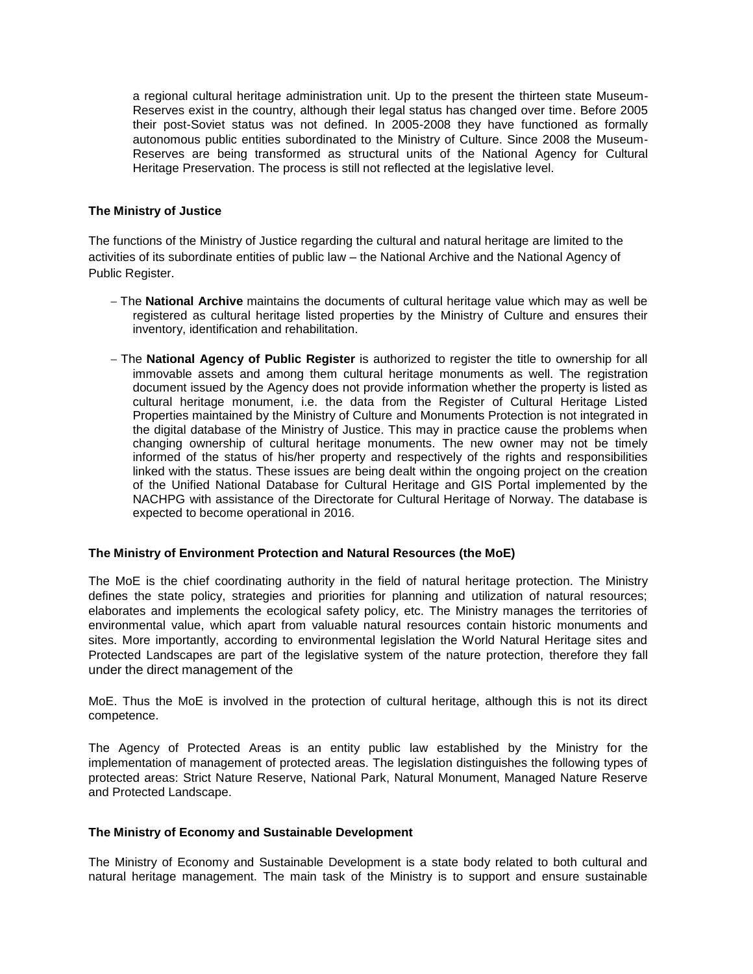a regional cultural heritage administration unit. Up to the present the thirteen state Museum-Reserves exist in the country, although their legal status has changed over time. Before 2005 their post-Soviet status was not defined. In 2005-2008 they have functioned as formally autonomous public entities subordinated to the Ministry of Culture. Since 2008 the Museum-Reserves are being transformed as structural units of the National Agency for Cultural Heritage Preservation. The process is still not reflected at the legislative level.

### **The Ministry of Justice**

The functions of the Ministry of Justice regarding the cultural and natural heritage are limited to the activities of its subordinate entities of public law – the National Archive and the National Agency of Public Register.

- The **National Archive** maintains the documents of cultural heritage value which may as well be registered as cultural heritage listed properties by the Ministry of Culture and ensures their inventory, identification and rehabilitation.
- The **National Agency of Public Register** is authorized to register the title to ownership for all immovable assets and among them cultural heritage monuments as well. The registration document issued by the Agency does not provide information whether the property is listed as cultural heritage monument, i.e. the data from the Register of Cultural Heritage Listed Properties maintained by the Ministry of Culture and Monuments Protection is not integrated in the digital database of the Ministry of Justice. This may in practice cause the problems when changing ownership of cultural heritage monuments. The new owner may not be timely informed of the status of his/her property and respectively of the rights and responsibilities linked with the status. These issues are being dealt within the ongoing project on the creation of the Unified National Database for Cultural Heritage and GIS Portal implemented by the NACHPG with assistance of the Directorate for Cultural Heritage of Norway. The database is expected to become operational in 2016.

#### **The Ministry of Environment Protection and Natural Resources (the MoE)**

The MoE is the chief coordinating authority in the field of natural heritage protection. The Ministry defines the state policy, strategies and priorities for planning and utilization of natural resources; elaborates and implements the ecological safety policy, etc. The Ministry manages the territories of environmental value, which apart from valuable natural resources contain historic monuments and sites. More importantly, according to environmental legislation the World Natural Heritage sites and Protected Landscapes are part of the legislative system of the nature protection, therefore they fall under the direct management of the

MoE. Thus the MoE is involved in the protection of cultural heritage, although this is not its direct competence.

The Agency of Protected Areas is an entity public law established by the Ministry for the implementation of management of protected areas. The legislation distinguishes the following types of protected areas: Strict Nature Reserve, National Park, Natural Monument, Managed Nature Reserve and Protected Landscape.

#### **The Ministry of Economy and Sustainable Development**

The Ministry of Economy and Sustainable Development is a state body related to both cultural and natural heritage management. The main task of the Ministry is to support and ensure sustainable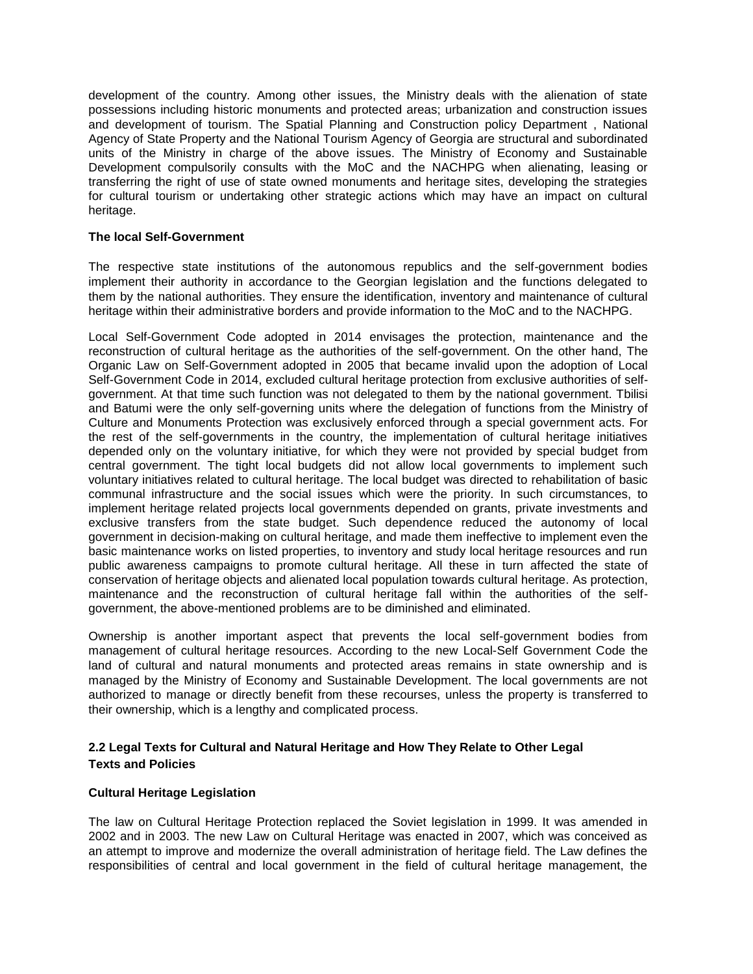development of the country. Among other issues, the Ministry deals with the alienation of state possessions including historic monuments and protected areas; urbanization and construction issues and development of tourism. The Spatial Planning and Construction policy Department , National Agency of State Property and the National Tourism Agency of Georgia are structural and subordinated units of the Ministry in charge of the above issues. The Ministry of Economy and Sustainable Development compulsorily consults with the MoC and the NACHPG when alienating, leasing or transferring the right of use of state owned monuments and heritage sites, developing the strategies for cultural tourism or undertaking other strategic actions which may have an impact on cultural heritage.

# **The local Self-Government**

The respective state institutions of the autonomous republics and the self-government bodies implement their authority in accordance to the Georgian legislation and the functions delegated to them by the national authorities. They ensure the identification, inventory and maintenance of cultural heritage within their administrative borders and provide information to the MoC and to the NACHPG.

Local Self-Government Code adopted in 2014 envisages the protection, maintenance and the reconstruction of cultural heritage as the authorities of the self-government. On the other hand, The Organic Law on Self-Government adopted in 2005 that became invalid upon the adoption of Local Self-Government Code in 2014, excluded cultural heritage protection from exclusive authorities of selfgovernment. At that time such function was not delegated to them by the national government. Tbilisi and Batumi were the only self-governing units where the delegation of functions from the Ministry of Culture and Monuments Protection was exclusively enforced through a special government acts. For the rest of the self-governments in the country, the implementation of cultural heritage initiatives depended only on the voluntary initiative, for which they were not provided by special budget from central government. The tight local budgets did not allow local governments to implement such voluntary initiatives related to cultural heritage. The local budget was directed to rehabilitation of basic communal infrastructure and the social issues which were the priority. In such circumstances, to implement heritage related projects local governments depended on grants, private investments and exclusive transfers from the state budget. Such dependence reduced the autonomy of local government in decision-making on cultural heritage, and made them ineffective to implement even the basic maintenance works on listed properties, to inventory and study local heritage resources and run public awareness campaigns to promote cultural heritage. All these in turn affected the state of conservation of heritage objects and alienated local population towards cultural heritage. As protection, maintenance and the reconstruction of cultural heritage fall within the authorities of the selfgovernment, the above-mentioned problems are to be diminished and eliminated.

Ownership is another important aspect that prevents the local self-government bodies from management of cultural heritage resources. According to the new Local-Self Government Code the land of cultural and natural monuments and protected areas remains in state ownership and is managed by the Ministry of Economy and Sustainable Development. The local governments are not authorized to manage or directly benefit from these recourses, unless the property is transferred to their ownership, which is a lengthy and complicated process.

# **2.2 Legal Texts for Cultural and Natural Heritage and How They Relate to Other Legal Texts and Policies**

#### **Cultural Heritage Legislation**

The law on Cultural Heritage Protection replaced the Soviet legislation in 1999. It was amended in 2002 and in 2003. The new Law on Cultural Heritage was enacted in 2007, which was conceived as an attempt to improve and modernize the overall administration of heritage field. The Law defines the responsibilities of central and local government in the field of cultural heritage management, the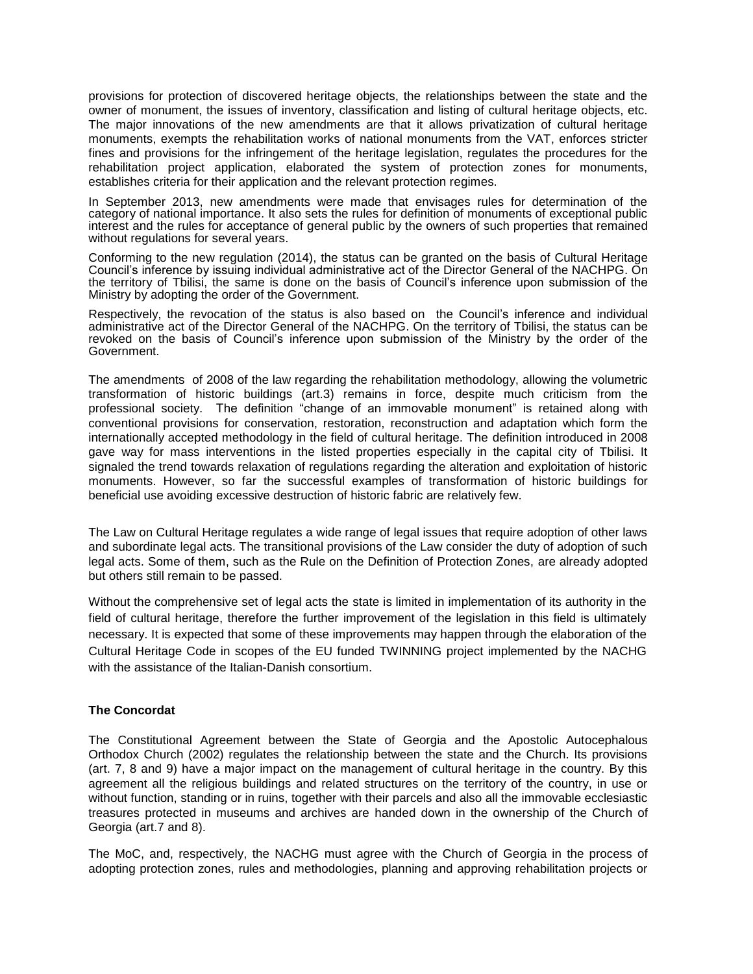provisions for protection of discovered heritage objects, the relationships between the state and the owner of monument, the issues of inventory, classification and listing of cultural heritage objects, etc. The major innovations of the new amendments are that it allows privatization of cultural heritage monuments, exempts the rehabilitation works of national monuments from the VAT, enforces stricter fines and provisions for the infringement of the heritage legislation, regulates the procedures for the rehabilitation project application, elaborated the system of protection zones for monuments, establishes criteria for their application and the relevant protection regimes.

In September 2013, new amendments were made that envisages rules for determination of the category of national importance. It also sets the rules for definition of monuments of exceptional public interest and the rules for acceptance of general public by the owners of such properties that remained without regulations for several years.

Conforming to the new regulation (2014), the status can be granted on the basis of Cultural Heritage Council's inference by issuing individual administrative act of the Director General of the NACHPG. On the territory of Tbilisi, the same is done on the basis of Council's inference upon submission of the Ministry by adopting the order of the Government.

Respectively, the revocation of the status is also based on the Council's inference and individual administrative act of the Director General of the NACHPG. On the territory of Tbilisi, the status can be revoked on the basis of Council's inference upon submission of the Ministry by the order of the Government.

The amendments of 2008 of the law regarding the rehabilitation methodology, allowing the volumetric transformation of historic buildings (art.3) remains in force, despite much criticism from the professional society. The definition "change of an immovable monument" is retained along with conventional provisions for conservation, restoration, reconstruction and adaptation which form the internationally accepted methodology in the field of cultural heritage. The definition introduced in 2008 gave way for mass interventions in the listed properties especially in the capital city of Tbilisi. It signaled the trend towards relaxation of regulations regarding the alteration and exploitation of historic monuments. However, so far the successful examples of transformation of historic buildings for beneficial use avoiding excessive destruction of historic fabric are relatively few.

The Law on Cultural Heritage regulates a wide range of legal issues that require adoption of other laws and subordinate legal acts. The transitional provisions of the Law consider the duty of adoption of such legal acts. Some of them, such as the Rule on the Definition of Protection Zones, are already adopted but others still remain to be passed.

Without the comprehensive set of legal acts the state is limited in implementation of its authority in the field of cultural heritage, therefore the further improvement of the legislation in this field is ultimately necessary. It is expected that some of these improvements may happen through the elaboration of the Cultural Heritage Code in scopes of the EU funded TWINNING project implemented by the NACHG with the assistance of the Italian-Danish consortium.

#### **The Concordat**

The Constitutional Agreement between the State of Georgia and the Apostolic Autocephalous Orthodox Church (2002) regulates the relationship between the state and the Church. Its provisions (art. 7, 8 and 9) have a major impact on the management of cultural heritage in the country. By this agreement all the religious buildings and related structures on the territory of the country, in use or without function, standing or in ruins, together with their parcels and also all the immovable ecclesiastic treasures protected in museums and archives are handed down in the ownership of the Church of Georgia (art.7 and 8).

The MoC, and, respectively, the NACHG must agree with the Church of Georgia in the process of adopting protection zones, rules and methodologies, planning and approving rehabilitation projects or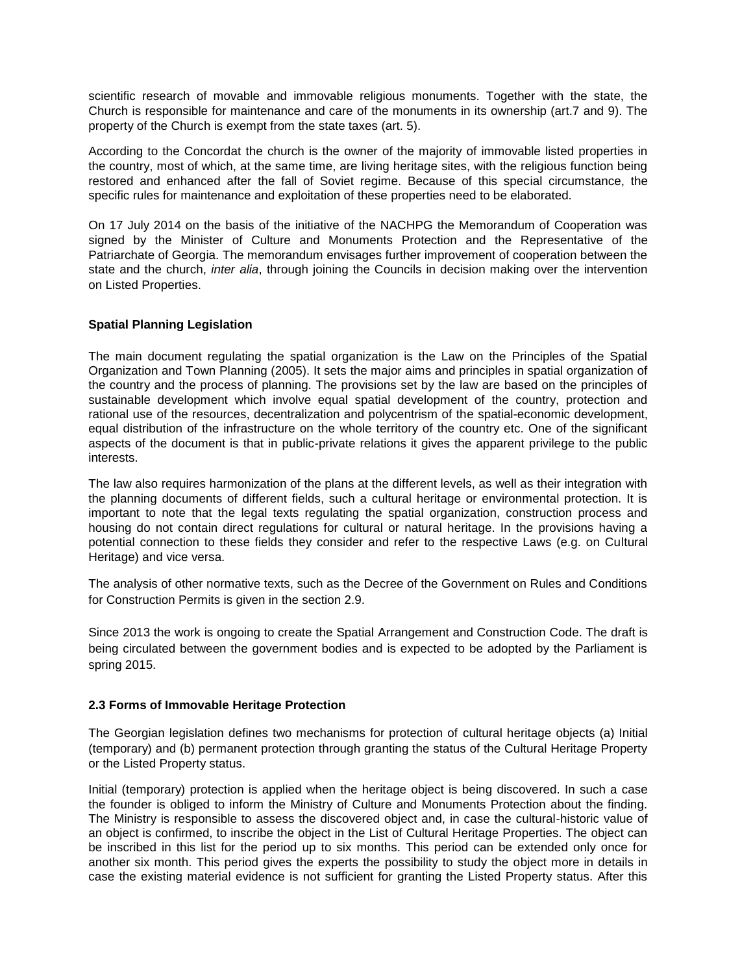scientific research of movable and immovable religious monuments. Together with the state, the Church is responsible for maintenance and care of the monuments in its ownership (art.7 and 9). The property of the Church is exempt from the state taxes (art. 5).

According to the Concordat the church is the owner of the majority of immovable listed properties in the country, most of which, at the same time, are living heritage sites, with the religious function being restored and enhanced after the fall of Soviet regime. Because of this special circumstance, the specific rules for maintenance and exploitation of these properties need to be elaborated.

On 17 July 2014 on the basis of the initiative of the NACHPG the Memorandum of Cooperation was signed by the Minister of Culture and Monuments Protection and the Representative of the Patriarchate of Georgia. The memorandum envisages further improvement of cooperation between the state and the church, *inter alia*, through joining the Councils in decision making over the intervention on Listed Properties.

# **Spatial Planning Legislation**

The main document regulating the spatial organization is the Law on the Principles of the Spatial Organization and Town Planning (2005). It sets the major aims and principles in spatial organization of the country and the process of planning. The provisions set by the law are based on the principles of sustainable development which involve equal spatial development of the country, protection and rational use of the resources, decentralization and polycentrism of the spatial-economic development, equal distribution of the infrastructure on the whole territory of the country etc. One of the significant aspects of the document is that in public-private relations it gives the apparent privilege to the public interests.

The law also requires harmonization of the plans at the different levels, as well as their integration with the planning documents of different fields, such a cultural heritage or environmental protection. It is important to note that the legal texts regulating the spatial organization, construction process and housing do not contain direct regulations for cultural or natural heritage. In the provisions having a potential connection to these fields they consider and refer to the respective Laws (e.g. on Cultural Heritage) and vice versa.

The analysis of other normative texts, such as the Decree of the Government on Rules and Conditions for Construction Permits is given in the section 2.9.

Since 2013 the work is ongoing to create the Spatial Arrangement and Construction Code. The draft is being circulated between the government bodies and is expected to be adopted by the Parliament is spring 2015.

#### **2.3 Forms of Immovable Heritage Protection**

The Georgian legislation defines two mechanisms for protection of cultural heritage objects (a) Initial (temporary) and (b) permanent protection through granting the status of the Cultural Heritage Property or the Listed Property status.

Initial (temporary) protection is applied when the heritage object is being discovered. In such a case the founder is obliged to inform the Ministry of Culture and Monuments Protection about the finding. The Ministry is responsible to assess the discovered object and, in case the cultural-historic value of an object is confirmed, to inscribe the object in the List of Cultural Heritage Properties. The object can be inscribed in this list for the period up to six months. This period can be extended only once for another six month. This period gives the experts the possibility to study the object more in details in case the existing material evidence is not sufficient for granting the Listed Property status. After this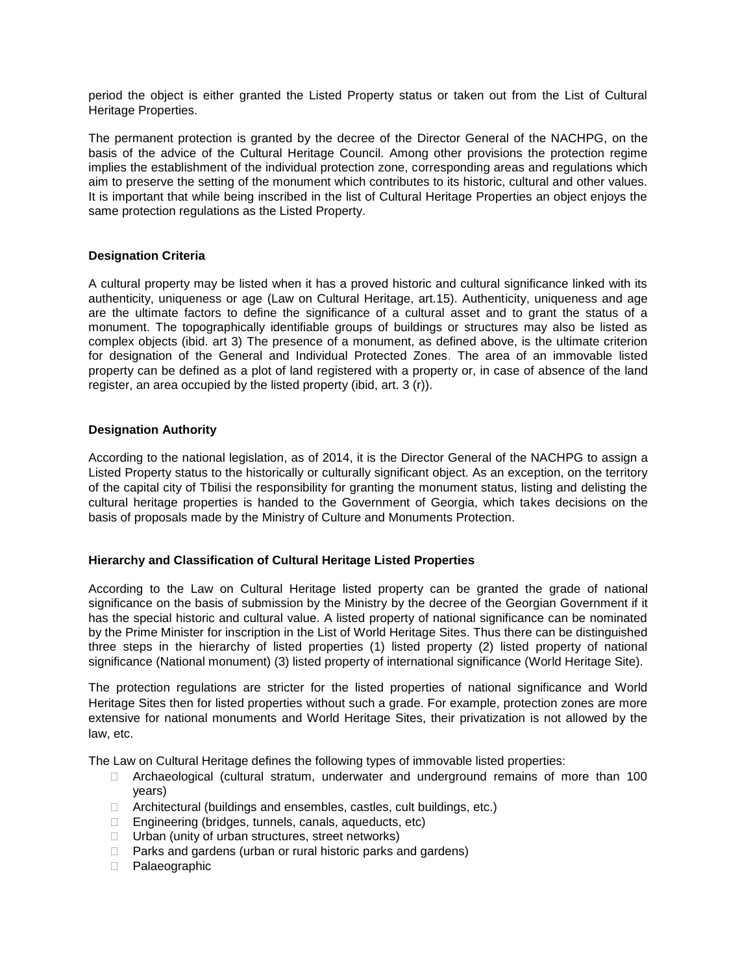period the object is either granted the Listed Property status or taken out from the List of Cultural Heritage Properties.

The permanent protection is granted by the decree of the Director General of the NACHPG, on the basis of the advice of the Cultural Heritage Council. Among other provisions the protection regime implies the establishment of the individual protection zone, corresponding areas and regulations which aim to preserve the setting of the monument which contributes to its historic, cultural and other values. It is important that while being inscribed in the list of Cultural Heritage Properties an object enjoys the same protection regulations as the Listed Property.

# **Designation Criteria**

A cultural property may be listed when it has a proved historic and cultural significance linked with its authenticity, uniqueness or age (Law on Cultural Heritage, art.15). Authenticity, uniqueness and age are the ultimate factors to define the significance of a cultural asset and to grant the status of a monument. The topographically identifiable groups of buildings or structures may also be listed as complex objects (ibid. art 3) The presence of a monument, as defined above, is the ultimate criterion for designation of the General and Individual Protected Zones. The area of an immovable listed property can be defined as a plot of land registered with a property or, in case of absence of the land register, an area occupied by the listed property (ibid, art. 3 (r)).

# **Designation Authority**

According to the national legislation, as of 2014, it is the Director General of the NACHPG to assign a Listed Property status to the historically or culturally significant object. As an exception, on the territory of the capital city of Tbilisi the responsibility for granting the monument status, listing and delisting the cultural heritage properties is handed to the Government of Georgia, which takes decisions on the basis of proposals made by the Ministry of Culture and Monuments Protection.

#### **Hierarchy and Classification of Cultural Heritage Listed Properties**

According to the Law on Cultural Heritage listed property can be granted the grade of national significance on the basis of submission by the Ministry by the decree of the Georgian Government if it has the special historic and cultural value. A listed property of national significance can be nominated by the Prime Minister for inscription in the List of World Heritage Sites. Thus there can be distinguished three steps in the hierarchy of listed properties (1) listed property (2) listed property of national significance (National monument) (3) listed property of international significance (World Heritage Site).

The protection regulations are stricter for the listed properties of national significance and World Heritage Sites then for listed properties without such a grade. For example, protection zones are more extensive for national monuments and World Heritage Sites, their privatization is not allowed by the law, etc.

The Law on Cultural Heritage defines the following types of immovable listed properties:

- $\Box$  Archaeological (cultural stratum, underwater and underground remains of more than 100 years)
- □ Architectural (buildings and ensembles, castles, cult buildings, etc.)
- $\Box$  Engineering (bridges, tunnels, canals, aqueducts, etc)
- $\Box$  Urban (unity of urban structures, street networks)
- □ Parks and gardens (urban or rural historic parks and gardens)
- D Palaeographic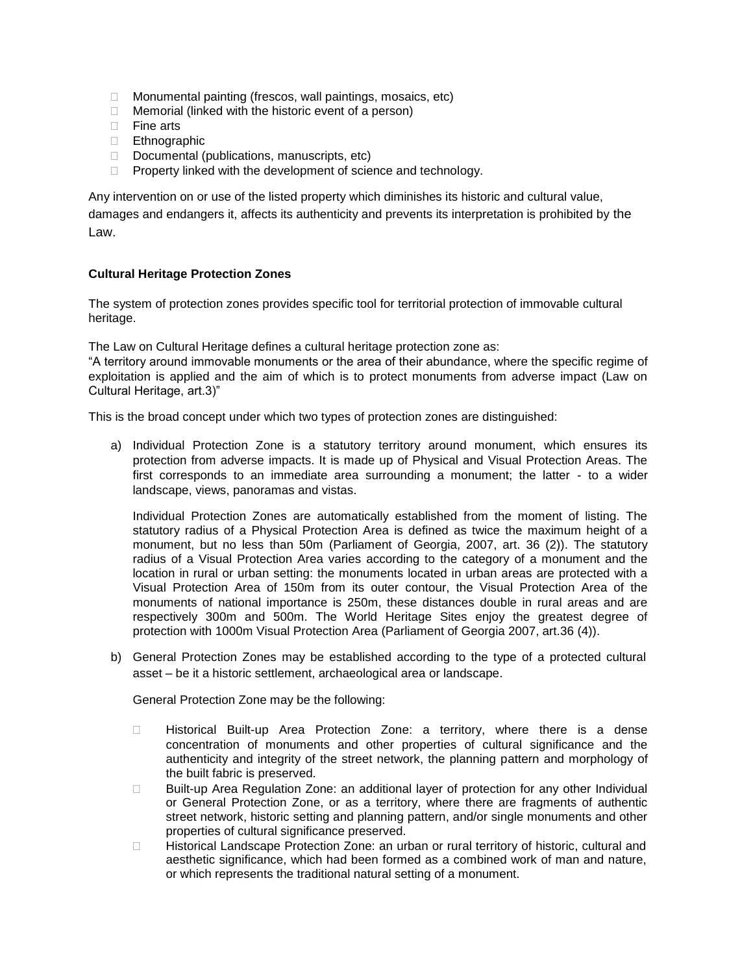- $\Box$  Monumental painting (frescos, wall paintings, mosaics, etc)
- $\Box$  Memorial (linked with the historic event of a person)
- $\Box$  Fine arts
- Ethnographic
- Documental (publications, manuscripts, etc)
- $\Box$  Property linked with the development of science and technology.

Any intervention on or use of the listed property which diminishes its historic and cultural value, damages and endangers it, affects its authenticity and prevents its interpretation is prohibited by the Law.

# **Cultural Heritage Protection Zones**

The system of protection zones provides specific tool for territorial protection of immovable cultural heritage.

The Law on Cultural Heritage defines a cultural heritage protection zone as:

"A territory around immovable monuments or the area of their abundance, where the specific regime of exploitation is applied and the aim of which is to protect monuments from adverse impact (Law on Cultural Heritage, art.3)"

This is the broad concept under which two types of protection zones are distinguished:

a) Individual Protection Zone is a statutory territory around monument, which ensures its protection from adverse impacts. It is made up of Physical and Visual Protection Areas. The first corresponds to an immediate area surrounding a monument; the latter - to a wider landscape, views, panoramas and vistas.

Individual Protection Zones are automatically established from the moment of listing. The statutory radius of a Physical Protection Area is defined as twice the maximum height of a monument, but no less than 50m (Parliament of Georgia, 2007, art. 36 (2)). The statutory radius of a Visual Protection Area varies according to the category of a monument and the location in rural or urban setting: the monuments located in urban areas are protected with a Visual Protection Area of 150m from its outer contour, the Visual Protection Area of the monuments of national importance is 250m, these distances double in rural areas and are respectively 300m and 500m. The World Heritage Sites enjoy the greatest degree of protection with 1000m Visual Protection Area (Parliament of Georgia 2007, art.36 (4)).

b) General Protection Zones may be established according to the type of a protected cultural asset – be it a historic settlement, archaeological area or landscape.

General Protection Zone may be the following:

- Historical Built-up Area Protection Zone: a territory, where there is a dense concentration of monuments and other properties of cultural significance and the authenticity and integrity of the street network, the planning pattern and morphology of the built fabric is preserved.
- □ Built-up Area Regulation Zone: an additional layer of protection for any other Individual or General Protection Zone, or as a territory, where there are fragments of authentic street network, historic setting and planning pattern, and/or single monuments and other properties of cultural significance preserved.
- Historical Landscape Protection Zone: an urban or rural territory of historic, cultural and aesthetic significance, which had been formed as a combined work of man and nature, or which represents the traditional natural setting of a monument.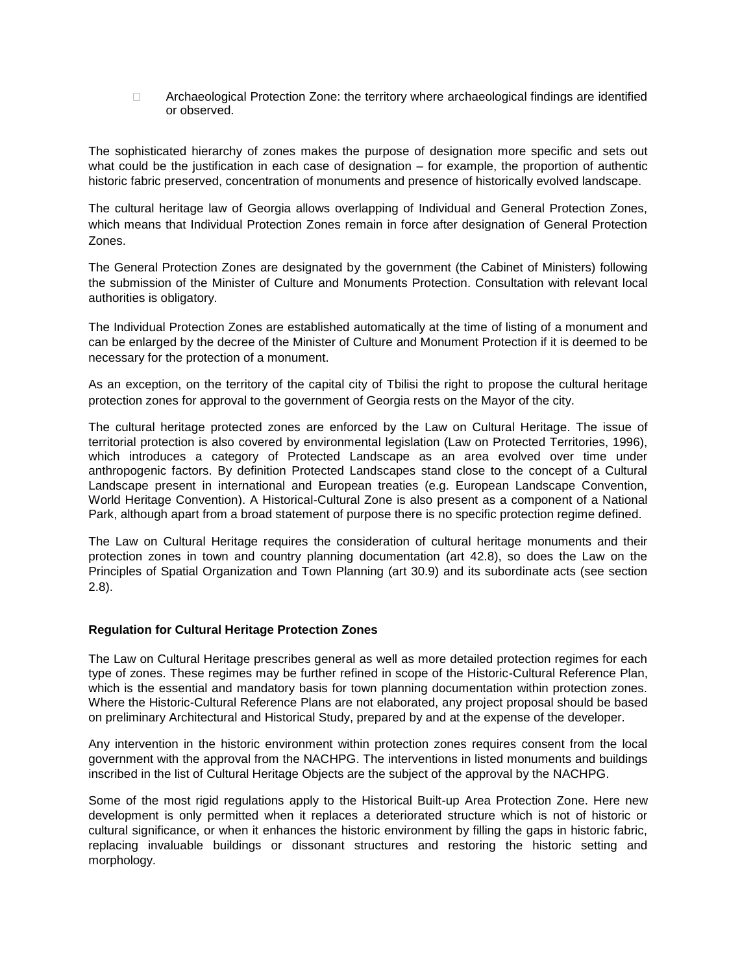□ Archaeological Protection Zone: the territory where archaeological findings are identified or observed.

The sophisticated hierarchy of zones makes the purpose of designation more specific and sets out what could be the justification in each case of designation – for example, the proportion of authentic historic fabric preserved, concentration of monuments and presence of historically evolved landscape.

The cultural heritage law of Georgia allows overlapping of Individual and General Protection Zones, which means that Individual Protection Zones remain in force after designation of General Protection Zones.

The General Protection Zones are designated by the government (the Cabinet of Ministers) following the submission of the Minister of Culture and Monuments Protection. Consultation with relevant local authorities is obligatory.

The Individual Protection Zones are established automatically at the time of listing of a monument and can be enlarged by the decree of the Minister of Culture and Monument Protection if it is deemed to be necessary for the protection of a monument.

As an exception, on the territory of the capital city of Tbilisi the right to propose the cultural heritage protection zones for approval to the government of Georgia rests on the Mayor of the city.

The cultural heritage protected zones are enforced by the Law on Cultural Heritage. The issue of territorial protection is also covered by environmental legislation (Law on Protected Territories, 1996), which introduces a category of Protected Landscape as an area evolved over time under anthropogenic factors. By definition Protected Landscapes stand close to the concept of a Cultural Landscape present in international and European treaties (e.g. European Landscape Convention, World Heritage Convention). A Historical-Cultural Zone is also present as a component of a National Park, although apart from a broad statement of purpose there is no specific protection regime defined.

The Law on Cultural Heritage requires the consideration of cultural heritage monuments and their protection zones in town and country planning documentation (art 42.8), so does the Law on the Principles of Spatial Organization and Town Planning (art 30.9) and its subordinate acts (see section 2.8).

#### **Regulation for Cultural Heritage Protection Zones**

The Law on Cultural Heritage prescribes general as well as more detailed protection regimes for each type of zones. These regimes may be further refined in scope of the Historic-Cultural Reference Plan, which is the essential and mandatory basis for town planning documentation within protection zones. Where the Historic-Cultural Reference Plans are not elaborated, any project proposal should be based on preliminary Architectural and Historical Study, prepared by and at the expense of the developer.

Any intervention in the historic environment within protection zones requires consent from the local government with the approval from the NACHPG. The interventions in listed monuments and buildings inscribed in the list of Cultural Heritage Objects are the subject of the approval by the NACHPG.

Some of the most rigid regulations apply to the Historical Built-up Area Protection Zone. Here new development is only permitted when it replaces a deteriorated structure which is not of historic or cultural significance, or when it enhances the historic environment by filling the gaps in historic fabric, replacing invaluable buildings or dissonant structures and restoring the historic setting and morphology.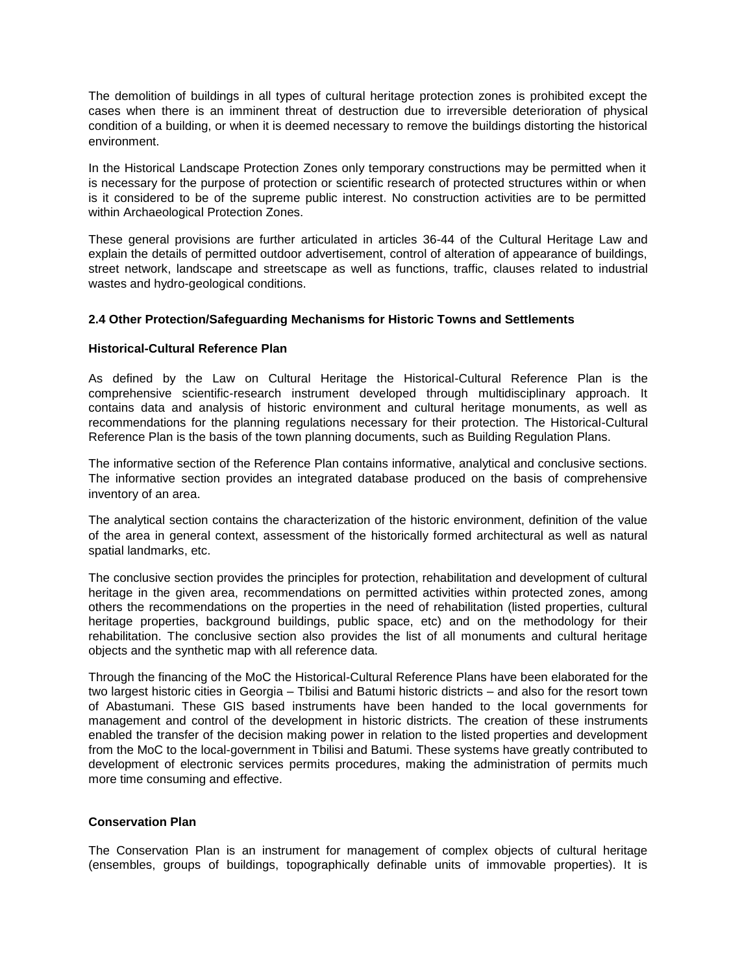The demolition of buildings in all types of cultural heritage protection zones is prohibited except the cases when there is an imminent threat of destruction due to irreversible deterioration of physical condition of a building, or when it is deemed necessary to remove the buildings distorting the historical environment.

In the Historical Landscape Protection Zones only temporary constructions may be permitted when it is necessary for the purpose of protection or scientific research of protected structures within or when is it considered to be of the supreme public interest. No construction activities are to be permitted within Archaeological Protection Zones.

These general provisions are further articulated in articles 36-44 of the Cultural Heritage Law and explain the details of permitted outdoor advertisement, control of alteration of appearance of buildings, street network, landscape and streetscape as well as functions, traffic, clauses related to industrial wastes and hydro-geological conditions.

#### **2.4 Other Protection/Safeguarding Mechanisms for Historic Towns and Settlements**

#### **Historical-Cultural Reference Plan**

As defined by the Law on Cultural Heritage the Historical-Cultural Reference Plan is the comprehensive scientific-research instrument developed through multidisciplinary approach. It contains data and analysis of historic environment and cultural heritage monuments, as well as recommendations for the planning regulations necessary for their protection. The Historical-Cultural Reference Plan is the basis of the town planning documents, such as Building Regulation Plans.

The informative section of the Reference Plan contains informative, analytical and conclusive sections. The informative section provides an integrated database produced on the basis of comprehensive inventory of an area.

The analytical section contains the characterization of the historic environment, definition of the value of the area in general context, assessment of the historically formed architectural as well as natural spatial landmarks, etc.

The conclusive section provides the principles for protection, rehabilitation and development of cultural heritage in the given area, recommendations on permitted activities within protected zones, among others the recommendations on the properties in the need of rehabilitation (listed properties, cultural heritage properties, background buildings, public space, etc) and on the methodology for their rehabilitation. The conclusive section also provides the list of all monuments and cultural heritage objects and the synthetic map with all reference data.

Through the financing of the MoC the Historical-Cultural Reference Plans have been elaborated for the two largest historic cities in Georgia – Tbilisi and Batumi historic districts – and also for the resort town of Abastumani. These GIS based instruments have been handed to the local governments for management and control of the development in historic districts. The creation of these instruments enabled the transfer of the decision making power in relation to the listed properties and development from the MoC to the local-government in Tbilisi and Batumi. These systems have greatly contributed to development of electronic services permits procedures, making the administration of permits much more time consuming and effective.

#### **Conservation Plan**

The Conservation Plan is an instrument for management of complex objects of cultural heritage (ensembles, groups of buildings, topographically definable units of immovable properties). It is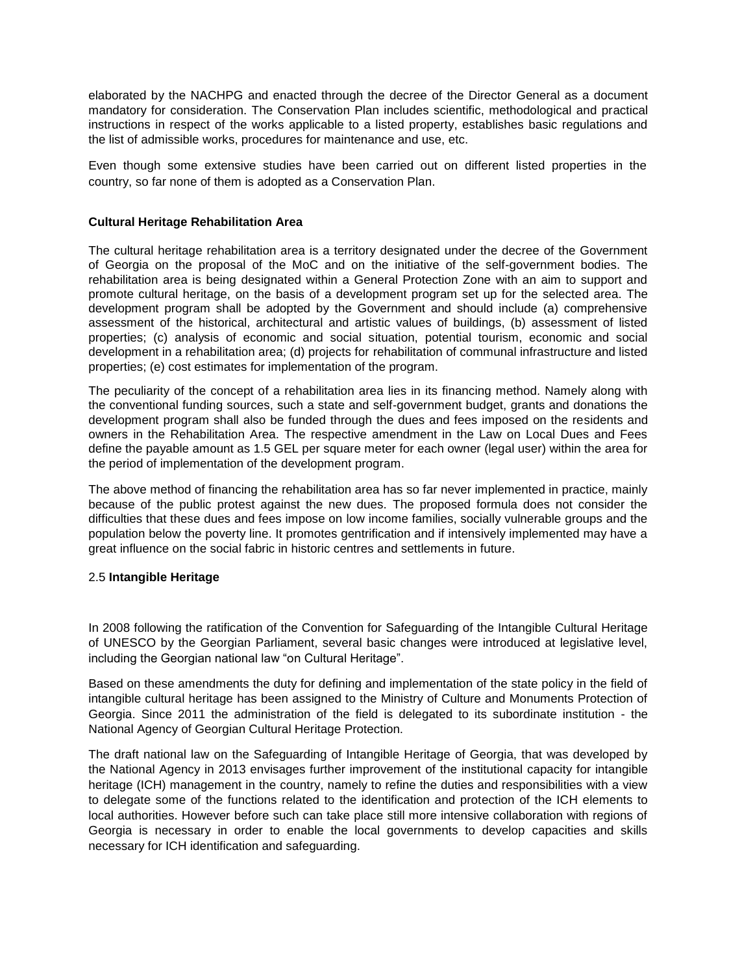elaborated by the NACHPG and enacted through the decree of the Director General as a document mandatory for consideration. The Conservation Plan includes scientific, methodological and practical instructions in respect of the works applicable to a listed property, establishes basic regulations and the list of admissible works, procedures for maintenance and use, etc.

Even though some extensive studies have been carried out on different listed properties in the country, so far none of them is adopted as a Conservation Plan.

#### **Cultural Heritage Rehabilitation Area**

The cultural heritage rehabilitation area is a territory designated under the decree of the Government of Georgia on the proposal of the MoC and on the initiative of the self-government bodies. The rehabilitation area is being designated within a General Protection Zone with an aim to support and promote cultural heritage, on the basis of a development program set up for the selected area. The development program shall be adopted by the Government and should include (a) comprehensive assessment of the historical, architectural and artistic values of buildings, (b) assessment of listed properties; (c) analysis of economic and social situation, potential tourism, economic and social development in a rehabilitation area; (d) projects for rehabilitation of communal infrastructure and listed properties; (e) cost estimates for implementation of the program.

The peculiarity of the concept of a rehabilitation area lies in its financing method. Namely along with the conventional funding sources, such a state and self-government budget, grants and donations the development program shall also be funded through the dues and fees imposed on the residents and owners in the Rehabilitation Area. The respective amendment in the Law on Local Dues and Fees define the payable amount as 1.5 GEL per square meter for each owner (legal user) within the area for the period of implementation of the development program.

The above method of financing the rehabilitation area has so far never implemented in practice, mainly because of the public protest against the new dues. The proposed formula does not consider the difficulties that these dues and fees impose on low income families, socially vulnerable groups and the population below the poverty line. It promotes gentrification and if intensively implemented may have a great influence on the social fabric in historic centres and settlements in future.

#### 2.5 **Intangible Heritage**

In 2008 following the ratification of the Convention for Safeguarding of the Intangible Cultural Heritage of UNESCO by the Georgian Parliament, several basic changes were introduced at legislative level, including the Georgian national law "on Cultural Heritage".

Based on these amendments the duty for defining and implementation of the state policy in the field of intangible cultural heritage has been assigned to the Ministry of Culture and Monuments Protection of Georgia. Since 2011 the administration of the field is delegated to its subordinate institution - the National Agency of Georgian Cultural Heritage Protection.

The draft national law on the Safeguarding of Intangible Heritage of Georgia, that was developed by the National Agency in 2013 envisages further improvement of the institutional capacity for intangible heritage (ICH) management in the country, namely to refine the duties and responsibilities with a view to delegate some of the functions related to the identification and protection of the ICH elements to local authorities. However before such can take place still more intensive collaboration with regions of Georgia is necessary in order to enable the local governments to develop capacities and skills necessary for ICH identification and safeguarding.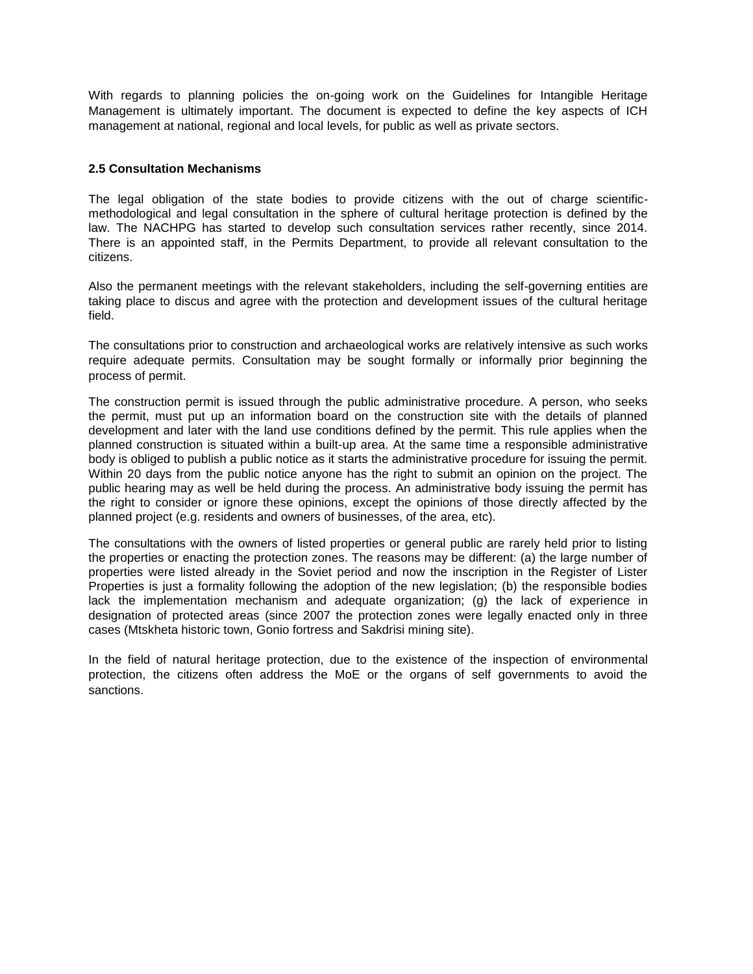With regards to planning policies the on-going work on the Guidelines for Intangible Heritage Management is ultimately important. The document is expected to define the key aspects of ICH management at national, regional and local levels, for public as well as private sectors.

### **2.5 Consultation Mechanisms**

The legal obligation of the state bodies to provide citizens with the out of charge scientificmethodological and legal consultation in the sphere of cultural heritage protection is defined by the law. The NACHPG has started to develop such consultation services rather recently, since 2014. There is an appointed staff, in the Permits Department, to provide all relevant consultation to the citizens.

Also the permanent meetings with the relevant stakeholders, including the self-governing entities are taking place to discus and agree with the protection and development issues of the cultural heritage field.

The consultations prior to construction and archaeological works are relatively intensive as such works require adequate permits. Consultation may be sought formally or informally prior beginning the process of permit.

The construction permit is issued through the public administrative procedure. A person, who seeks the permit, must put up an information board on the construction site with the details of planned development and later with the land use conditions defined by the permit. This rule applies when the planned construction is situated within a built-up area. At the same time a responsible administrative body is obliged to publish a public notice as it starts the administrative procedure for issuing the permit. Within 20 days from the public notice anyone has the right to submit an opinion on the project. The public hearing may as well be held during the process. An administrative body issuing the permit has the right to consider or ignore these opinions, except the opinions of those directly affected by the planned project (e.g. residents and owners of businesses, of the area, etc).

The consultations with the owners of listed properties or general public are rarely held prior to listing the properties or enacting the protection zones. The reasons may be different: (a) the large number of properties were listed already in the Soviet period and now the inscription in the Register of Lister Properties is just a formality following the adoption of the new legislation; (b) the responsible bodies lack the implementation mechanism and adequate organization; (g) the lack of experience in designation of protected areas (since 2007 the protection zones were legally enacted only in three cases (Mtskheta historic town, Gonio fortress and Sakdrisi mining site).

In the field of natural heritage protection, due to the existence of the inspection of environmental protection, the citizens often address the MoE or the organs of self governments to avoid the sanctions.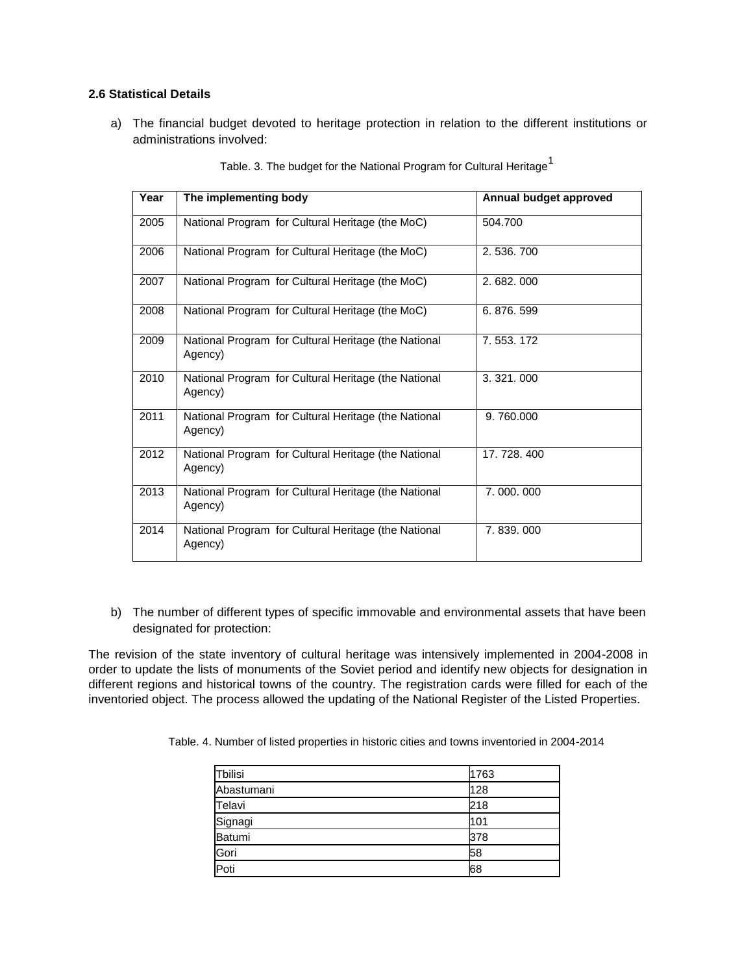# **2.6 Statistical Details**

a) The financial budget devoted to heritage protection in relation to the different institutions or administrations involved:

| Year | The implementing body                                           | Annual budget approved |
|------|-----------------------------------------------------------------|------------------------|
| 2005 | National Program for Cultural Heritage (the MoC)                | 504.700                |
| 2006 | National Program for Cultural Heritage (the MoC)                | 2.536.700              |
| 2007 | National Program for Cultural Heritage (the MoC)                | 2.682.000              |
| 2008 | National Program for Cultural Heritage (the MoC)                | 6.876.599              |
| 2009 | National Program for Cultural Heritage (the National<br>Agency) | 7.553.172              |
| 2010 | National Program for Cultural Heritage (the National<br>Agency) | 3.321.000              |
| 2011 | National Program for Cultural Heritage (the National<br>Agency) | 9.760.000              |
| 2012 | National Program for Cultural Heritage (the National<br>Agency) | 17.728.400             |
| 2013 | National Program for Cultural Heritage (the National<br>Agency) | 7.000.000              |
| 2014 | National Program for Cultural Heritage (the National<br>Agency) | 7.839.000              |

Table. 3. The budget for the National Program for Cultural Heritage<sup>1</sup>

b) The number of different types of specific immovable and environmental assets that have been designated for protection:

The revision of the state inventory of cultural heritage was intensively implemented in 2004-2008 in order to update the lists of monuments of the Soviet period and identify new objects for designation in different regions and historical towns of the country. The registration cards were filled for each of the inventoried object. The process allowed the updating of the National Register of the Listed Properties.

Table. 4. Number of listed properties in historic cities and towns inventoried in 2004-2014

| Tbilisi       | 1763 |
|---------------|------|
| Abastumani    | 128  |
| Telavi        | 218  |
| Signagi       | 101  |
| <b>Batumi</b> | 378  |
| Gori          | 58   |
| Poti          | 68   |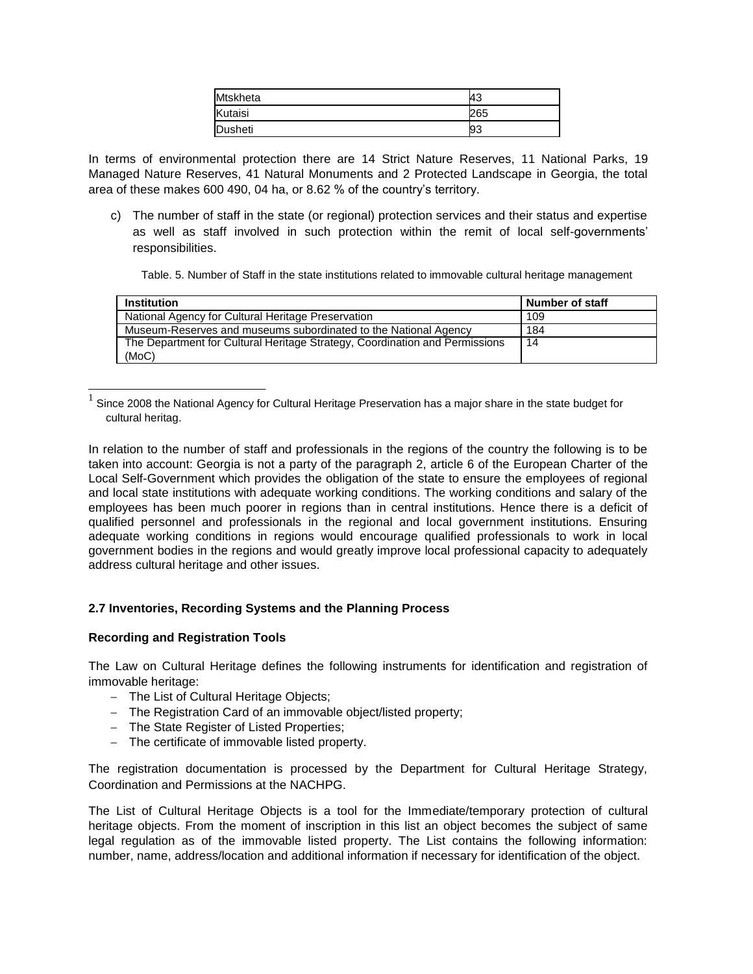| <b>Mtskheta</b> | 43  |
|-----------------|-----|
| Kutaisi         | 265 |
| Dusheti         | 93  |

In terms of environmental protection there are 14 Strict Nature Reserves, 11 National Parks, 19 Managed Nature Reserves, 41 Natural Monuments and 2 Protected Landscape in Georgia, the total area of these makes 600 490, 04 ha, or 8.62 % of the country's territory.

c) The number of staff in the state (or regional) protection services and their status and expertise as well as staff involved in such protection within the remit of local self-governments' responsibilities.

Table. 5. Number of Staff in the state institutions related to immovable cultural heritage management

| <b>Institution</b>                                                          | Number of staff |
|-----------------------------------------------------------------------------|-----------------|
| National Agency for Cultural Heritage Preservation                          | 109             |
| Museum-Reserves and museums subordinated to the National Agency             | 184             |
| The Department for Cultural Heritage Strategy, Coordination and Permissions | 14              |
| (MoC)                                                                       |                 |

1 Since 2008 the National Agency for Cultural Heritage Preservation has a major share in the state budget for cultural heritag.

In relation to the number of staff and professionals in the regions of the country the following is to be taken into account: Georgia is not a party of the paragraph 2, article 6 of the European Charter of the Local Self-Government which provides the obligation of the state to ensure the employees of regional and local state institutions with adequate working conditions. The working conditions and salary of the employees has been much poorer in regions than in central institutions. Hence there is a deficit of qualified personnel and professionals in the regional and local government institutions. Ensuring adequate working conditions in regions would encourage qualified professionals to work in local government bodies in the regions and would greatly improve local professional capacity to adequately address cultural heritage and other issues.

#### **2.7 Inventories, Recording Systems and the Planning Process**

#### **Recording and Registration Tools**

The Law on Cultural Heritage defines the following instruments for identification and registration of immovable heritage:

- The List of Cultural Heritage Objects;
- The Registration Card of an immovable object/listed property;
- The State Register of Listed Properties;
- The certificate of immovable listed property.

The registration documentation is processed by the Department for Cultural Heritage Strategy, Coordination and Permissions at the NACHPG.

The List of Cultural Heritage Objects is a tool for the Immediate/temporary protection of cultural heritage objects. From the moment of inscription in this list an object becomes the subject of same legal regulation as of the immovable listed property. The List contains the following information: number, name, address/location and additional information if necessary for identification of the object.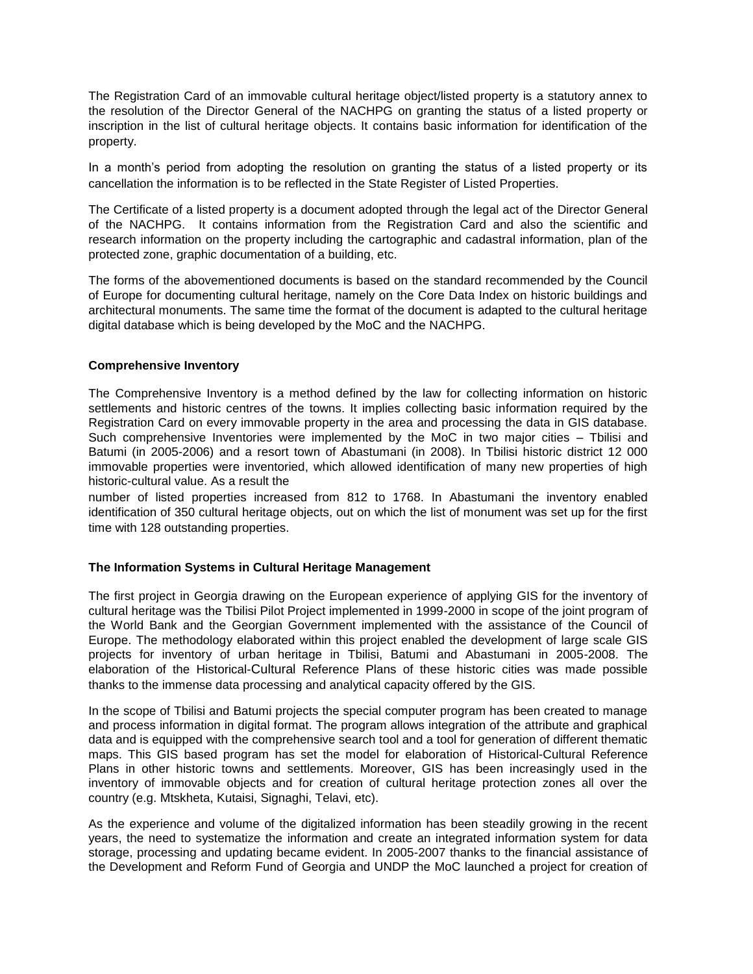The Registration Card of an immovable cultural heritage object/listed property is a statutory annex to the resolution of the Director General of the NACHPG on granting the status of a listed property or inscription in the list of cultural heritage objects. It contains basic information for identification of the property.

In a month's period from adopting the resolution on granting the status of a listed property or its cancellation the information is to be reflected in the State Register of Listed Properties.

The Certificate of a listed property is a document adopted through the legal act of the Director General of the NACHPG. It contains information from the Registration Card and also the scientific and research information on the property including the cartographic and cadastral information, plan of the protected zone, graphic documentation of a building, etc.

The forms of the abovementioned documents is based on the standard recommended by the Council of Europe for documenting cultural heritage, namely on the Core Data Index on historic buildings and architectural monuments. The same time the format of the document is adapted to the cultural heritage digital database which is being developed by the MoC and the NACHPG.

#### **Comprehensive Inventory**

The Comprehensive Inventory is a method defined by the law for collecting information on historic settlements and historic centres of the towns. It implies collecting basic information required by the Registration Card on every immovable property in the area and processing the data in GIS database. Such comprehensive Inventories were implemented by the MoC in two major cities – Tbilisi and Batumi (in 2005-2006) and a resort town of Abastumani (in 2008). In Tbilisi historic district 12 000 immovable properties were inventoried, which allowed identification of many new properties of high historic-cultural value. As a result the

number of listed properties increased from 812 to 1768. In Abastumani the inventory enabled identification of 350 cultural heritage objects, out on which the list of monument was set up for the first time with 128 outstanding properties.

#### **The Information Systems in Cultural Heritage Management**

The first project in Georgia drawing on the European experience of applying GIS for the inventory of cultural heritage was the Tbilisi Pilot Project implemented in 1999-2000 in scope of the joint program of the World Bank and the Georgian Government implemented with the assistance of the Council of Europe. The methodology elaborated within this project enabled the development of large scale GIS projects for inventory of urban heritage in Tbilisi, Batumi and Abastumani in 2005-2008. The elaboration of the Historical-Cultural Reference Plans of these historic cities was made possible thanks to the immense data processing and analytical capacity offered by the GIS.

In the scope of Tbilisi and Batumi projects the special computer program has been created to manage and process information in digital format. The program allows integration of the attribute and graphical data and is equipped with the comprehensive search tool and a tool for generation of different thematic maps. This GIS based program has set the model for elaboration of Historical-Cultural Reference Plans in other historic towns and settlements. Moreover, GIS has been increasingly used in the inventory of immovable objects and for creation of cultural heritage protection zones all over the country (e.g. Mtskheta, Kutaisi, Signaghi, Telavi, etc).

As the experience and volume of the digitalized information has been steadily growing in the recent years, the need to systematize the information and create an integrated information system for data storage, processing and updating became evident. In 2005-2007 thanks to the financial assistance of the Development and Reform Fund of Georgia and UNDP the MoC launched a project for creation of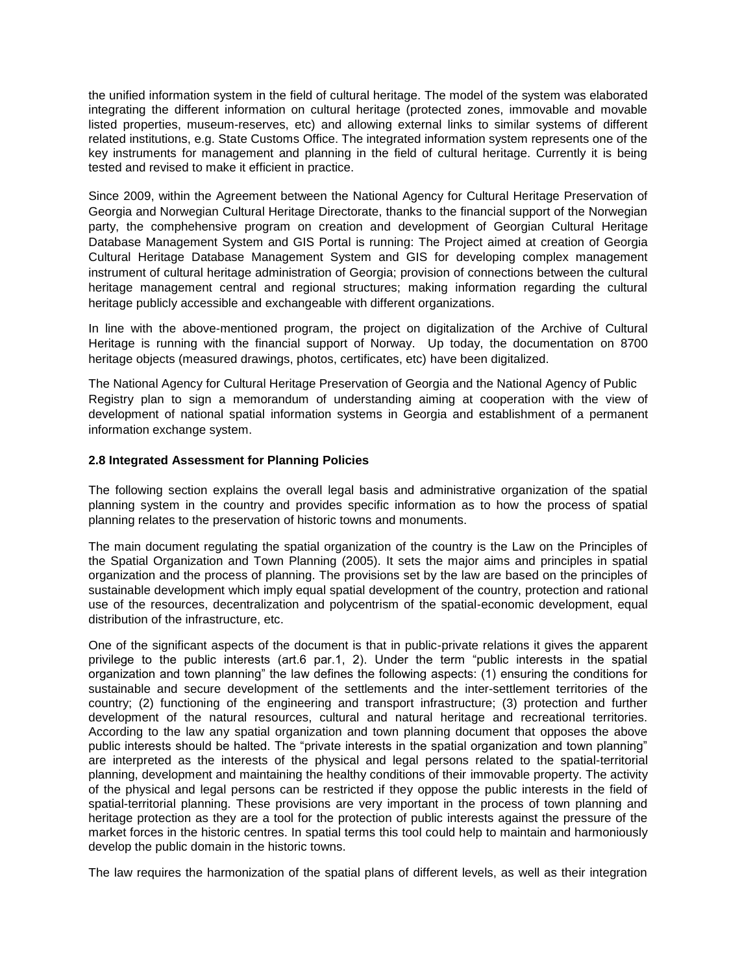the unified information system in the field of cultural heritage. The model of the system was elaborated integrating the different information on cultural heritage (protected zones, immovable and movable listed properties, museum-reserves, etc) and allowing external links to similar systems of different related institutions, e.g. State Customs Office. The integrated information system represents one of the key instruments for management and planning in the field of cultural heritage. Currently it is being tested and revised to make it efficient in practice.

Since 2009, within the Agreement between the National Agency for Cultural Heritage Preservation of Georgia and Norwegian Cultural Heritage Directorate, thanks to the financial support of the Norwegian party, the comphehensive program on creation and development of Georgian Cultural Heritage Database Management System and GIS Portal is running: The Project aimed at creation of Georgia Cultural Heritage Database Management System and GIS for developing complex management instrument of cultural heritage administration of Georgia; provision of connections between the cultural heritage management central and regional structures; making information regarding the cultural heritage publicly accessible and exchangeable with different organizations.

In line with the above-mentioned program, the project on digitalization of the Archive of Cultural Heritage is running with the financial support of Norway. Up today, the documentation on 8700 heritage objects (measured drawings, photos, certificates, etc) have been digitalized.

The National Agency for Cultural Heritage Preservation of Georgia and the National Agency of Public Registry plan to sign a memorandum of understanding aiming at cooperation with the view of development of national spatial information systems in Georgia and establishment of a permanent information exchange system.

# **2.8 Integrated Assessment for Planning Policies**

The following section explains the overall legal basis and administrative organization of the spatial planning system in the country and provides specific information as to how the process of spatial planning relates to the preservation of historic towns and monuments.

The main document regulating the spatial organization of the country is the Law on the Principles of the Spatial Organization and Town Planning (2005). It sets the major aims and principles in spatial organization and the process of planning. The provisions set by the law are based on the principles of sustainable development which imply equal spatial development of the country, protection and rational use of the resources, decentralization and polycentrism of the spatial-economic development, equal distribution of the infrastructure, etc.

One of the significant aspects of the document is that in public-private relations it gives the apparent privilege to the public interests (art.6 par.1, 2). Under the term "public interests in the spatial organization and town planning" the law defines the following aspects: (1) ensuring the conditions for sustainable and secure development of the settlements and the inter-settlement territories of the country; (2) functioning of the engineering and transport infrastructure; (3) protection and further development of the natural resources, cultural and natural heritage and recreational territories. According to the law any spatial organization and town planning document that opposes the above public interests should be halted. The "private interests in the spatial organization and town planning" are interpreted as the interests of the physical and legal persons related to the spatial-territorial planning, development and maintaining the healthy conditions of their immovable property. The activity of the physical and legal persons can be restricted if they oppose the public interests in the field of spatial-territorial planning. These provisions are very important in the process of town planning and heritage protection as they are a tool for the protection of public interests against the pressure of the market forces in the historic centres. In spatial terms this tool could help to maintain and harmoniously develop the public domain in the historic towns.

The law requires the harmonization of the spatial plans of different levels, as well as their integration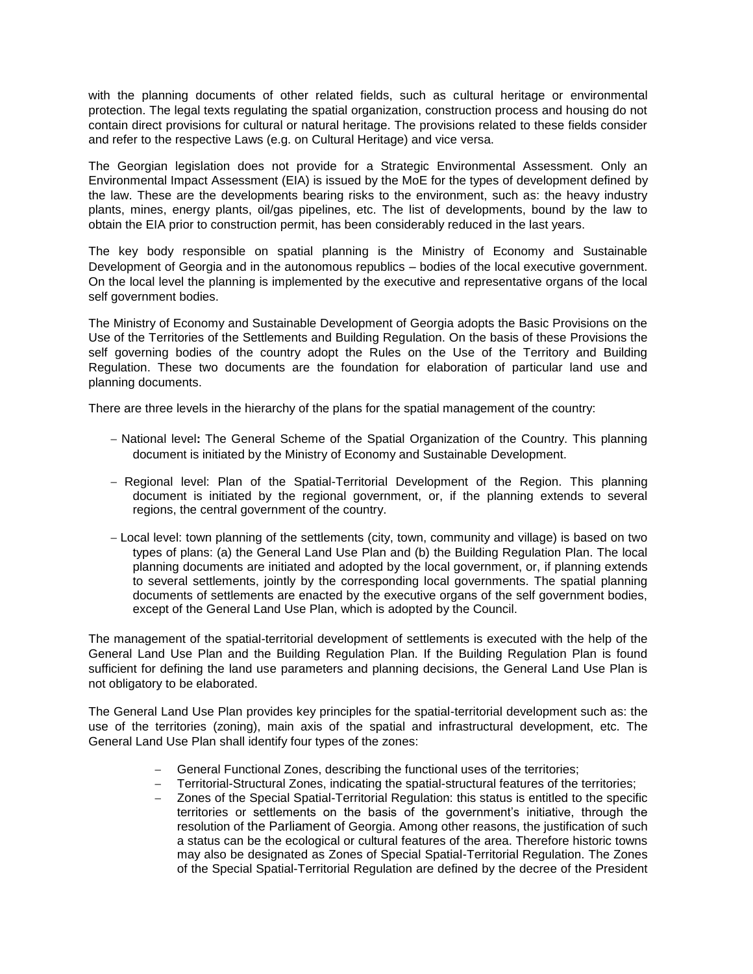with the planning documents of other related fields, such as cultural heritage or environmental protection. The legal texts regulating the spatial organization, construction process and housing do not contain direct provisions for cultural or natural heritage. The provisions related to these fields consider and refer to the respective Laws (e.g. on Cultural Heritage) and vice versa.

The Georgian legislation does not provide for a Strategic Environmental Assessment. Only an Environmental Impact Assessment (EIA) is issued by the MoE for the types of development defined by the law. These are the developments bearing risks to the environment, such as: the heavy industry plants, mines, energy plants, oil/gas pipelines, etc. The list of developments, bound by the law to obtain the EIA prior to construction permit, has been considerably reduced in the last years.

The key body responsible on spatial planning is the Ministry of Economy and Sustainable Development of Georgia and in the autonomous republics – bodies of the local executive government. On the local level the planning is implemented by the executive and representative organs of the local self government bodies.

The Ministry of Economy and Sustainable Development of Georgia adopts the Basic Provisions on the Use of the Territories of the Settlements and Building Regulation. On the basis of these Provisions the self governing bodies of the country adopt the Rules on the Use of the Territory and Building Regulation. These two documents are the foundation for elaboration of particular land use and planning documents.

There are three levels in the hierarchy of the plans for the spatial management of the country:

- National level**:** The General Scheme of the Spatial Organization of the Country. This planning document is initiated by the Ministry of Economy and Sustainable Development.
- Regional level: Plan of the Spatial-Territorial Development of the Region. This planning document is initiated by the regional government, or, if the planning extends to several regions, the central government of the country.
- Local level: town planning of the settlements (city, town, community and village) is based on two types of plans: (a) the General Land Use Plan and (b) the Building Regulation Plan. The local planning documents are initiated and adopted by the local government, or, if planning extends to several settlements, jointly by the corresponding local governments. The spatial planning documents of settlements are enacted by the executive organs of the self government bodies, except of the General Land Use Plan, which is adopted by the Council.

The management of the spatial-territorial development of settlements is executed with the help of the General Land Use Plan and the Building Regulation Plan. If the Building Regulation Plan is found sufficient for defining the land use parameters and planning decisions, the General Land Use Plan is not obligatory to be elaborated.

The General Land Use Plan provides key principles for the spatial-territorial development such as: the use of the territories (zoning), main axis of the spatial and infrastructural development, etc. The General Land Use Plan shall identify four types of the zones:

- General Functional Zones, describing the functional uses of the territories;
- Territorial-Structural Zones, indicating the spatial-structural features of the territories;
- Zones of the Special Spatial-Territorial Regulation: this status is entitled to the specific territories or settlements on the basis of the government's initiative, through the resolution of the Parliament of Georgia. Among other reasons, the justification of such a status can be the ecological or cultural features of the area. Therefore historic towns may also be designated as Zones of Special Spatial-Territorial Regulation. The Zones of the Special Spatial-Territorial Regulation are defined by the decree of the President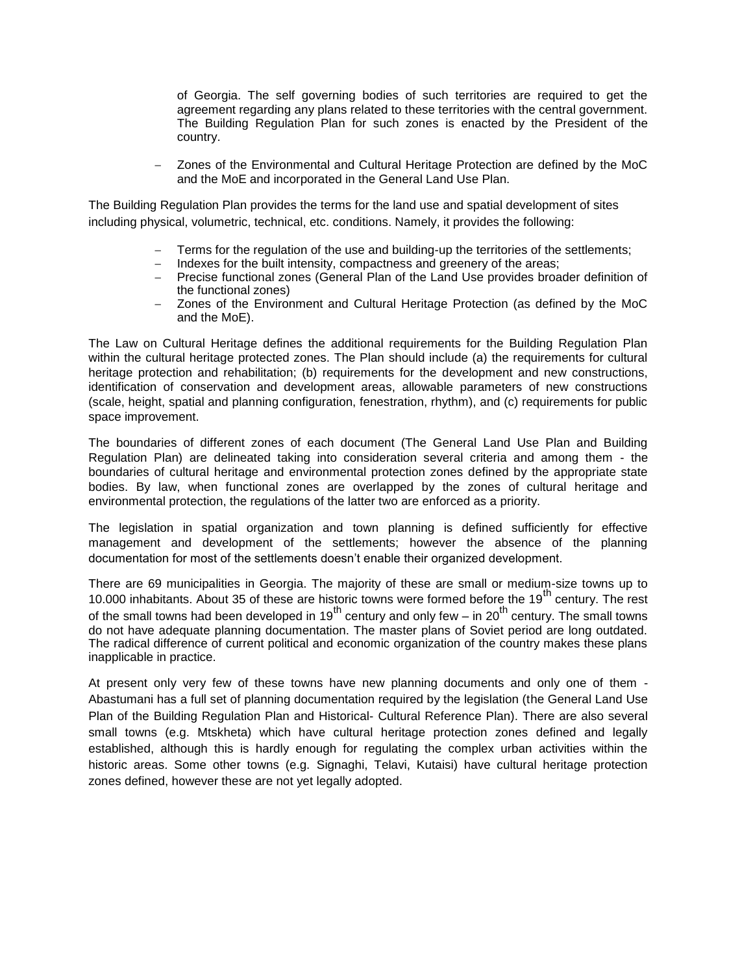of Georgia. The self governing bodies of such territories are required to get the agreement regarding any plans related to these territories with the central government. The Building Regulation Plan for such zones is enacted by the President of the country.

– Zones of the Environmental and Cultural Heritage Protection are defined by the MoC and the MoE and incorporated in the General Land Use Plan.

The Building Regulation Plan provides the terms for the land use and spatial development of sites including physical, volumetric, technical, etc. conditions. Namely, it provides the following:

- Terms for the regulation of the use and building-up the territories of the settlements;<br>– Indexes for the built intensity, compactness and greenery of the areas;
- Indexes for the built intensity, compactness and greenery of the areas;
- Precise functional zones (General Plan of the Land Use provides broader definition of the functional zones)
- Zones of the Environment and Cultural Heritage Protection (as defined by the MoC and the MoE).

The Law on Cultural Heritage defines the additional requirements for the Building Regulation Plan within the cultural heritage protected zones. The Plan should include (a) the requirements for cultural heritage protection and rehabilitation; (b) requirements for the development and new constructions, identification of conservation and development areas, allowable parameters of new constructions (scale, height, spatial and planning configuration, fenestration, rhythm), and (c) requirements for public space improvement.

The boundaries of different zones of each document (The General Land Use Plan and Building Regulation Plan) are delineated taking into consideration several criteria and among them - the boundaries of cultural heritage and environmental protection zones defined by the appropriate state bodies. By law, when functional zones are overlapped by the zones of cultural heritage and environmental protection, the regulations of the latter two are enforced as a priority.

The legislation in spatial organization and town planning is defined sufficiently for effective management and development of the settlements; however the absence of the planning documentation for most of the settlements doesn't enable their organized development.

There are 69 municipalities in Georgia. The majority of these are small or medium-size towns up to 10.000 inhabitants. About 35 of these are historic towns were formed before the 19<sup>th</sup> century. The rest of the small towns had been developed in 19<sup>th</sup> century and only few – in 20<sup>th</sup> century. The small towns do not have adequate planning documentation. The master plans of Soviet period are long outdated. The radical difference of current political and economic organization of the country makes these plans inapplicable in practice.

At present only very few of these towns have new planning documents and only one of them - Abastumani has a full set of planning documentation required by the legislation (the General Land Use Plan of the Building Regulation Plan and Historical- Cultural Reference Plan). There are also several small towns (e.g. Mtskheta) which have cultural heritage protection zones defined and legally established, although this is hardly enough for regulating the complex urban activities within the historic areas. Some other towns (e.g. Signaghi, Telavi, Kutaisi) have cultural heritage protection zones defined, however these are not yet legally adopted.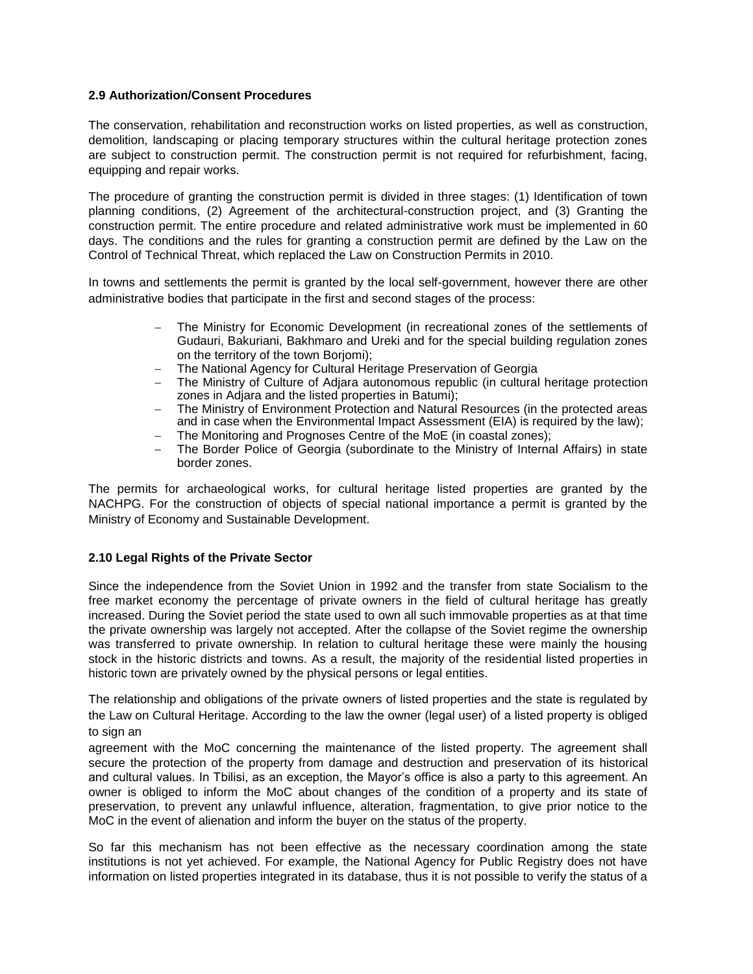# **2.9 Authorization/Consent Procedures**

The conservation, rehabilitation and reconstruction works on listed properties, as well as construction, demolition, landscaping or placing temporary structures within the cultural heritage protection zones are subject to construction permit. The construction permit is not required for refurbishment, facing, equipping and repair works.

The procedure of granting the construction permit is divided in three stages: (1) Identification of town planning conditions, (2) Agreement of the architectural-construction project, and (3) Granting the construction permit. The entire procedure and related administrative work must be implemented in 60 days. The conditions and the rules for granting a construction permit are defined by the Law on the Control of Technical Threat, which replaced the Law on Construction Permits in 2010.

In towns and settlements the permit is granted by the local self-government, however there are other administrative bodies that participate in the first and second stages of the process:

- The Ministry for Economic Development (in recreational zones of the settlements of Gudauri, Bakuriani, Bakhmaro and Ureki and for the special building regulation zones on the territory of the town Borjomi);
- The National Agency for Cultural Heritage Preservation of Georgia
- The Ministry of Culture of Adjara autonomous republic (in cultural heritage protection zones in Adjara and the listed properties in Batumi);
- The Ministry of Environment Protection and Natural Resources (in the protected areas and in case when the Environmental Impact Assessment (EIA) is required by the law);
- The Monitoring and Prognoses Centre of the MoE (in coastal zones);
- The Border Police of Georgia (subordinate to the Ministry of Internal Affairs) in state border zones.

The permits for archaeological works, for cultural heritage listed properties are granted by the NACHPG. For the construction of objects of special national importance a permit is granted by the Ministry of Economy and Sustainable Development.

#### **2.10 Legal Rights of the Private Sector**

Since the independence from the Soviet Union in 1992 and the transfer from state Socialism to the free market economy the percentage of private owners in the field of cultural heritage has greatly increased. During the Soviet period the state used to own all such immovable properties as at that time the private ownership was largely not accepted. After the collapse of the Soviet regime the ownership was transferred to private ownership. In relation to cultural heritage these were mainly the housing stock in the historic districts and towns. As a result, the majority of the residential listed properties in historic town are privately owned by the physical persons or legal entities.

The relationship and obligations of the private owners of listed properties and the state is regulated by the Law on Cultural Heritage. According to the law the owner (legal user) of a listed property is obliged to sign an

agreement with the MoC concerning the maintenance of the listed property. The agreement shall secure the protection of the property from damage and destruction and preservation of its historical and cultural values. In Tbilisi, as an exception, the Mayor's office is also a party to this agreement. An owner is obliged to inform the MoC about changes of the condition of a property and its state of preservation, to prevent any unlawful influence, alteration, fragmentation, to give prior notice to the MoC in the event of alienation and inform the buyer on the status of the property.

So far this mechanism has not been effective as the necessary coordination among the state institutions is not yet achieved. For example, the National Agency for Public Registry does not have information on listed properties integrated in its database, thus it is not possible to verify the status of a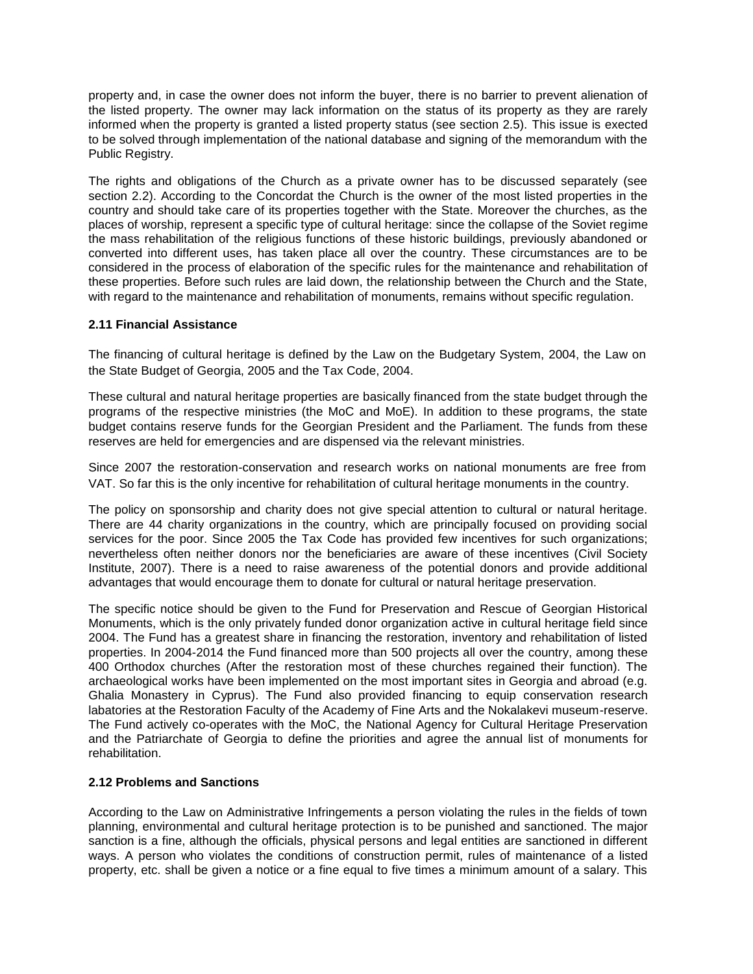property and, in case the owner does not inform the buyer, there is no barrier to prevent alienation of the listed property. The owner may lack information on the status of its property as they are rarely informed when the property is granted a listed property status (see section 2.5). This issue is exected to be solved through implementation of the national database and signing of the memorandum with the Public Registry.

The rights and obligations of the Church as a private owner has to be discussed separately (see section 2.2). According to the Concordat the Church is the owner of the most listed properties in the country and should take care of its properties together with the State. Moreover the churches, as the places of worship, represent a specific type of cultural heritage: since the collapse of the Soviet regime the mass rehabilitation of the religious functions of these historic buildings, previously abandoned or converted into different uses, has taken place all over the country. These circumstances are to be considered in the process of elaboration of the specific rules for the maintenance and rehabilitation of these properties. Before such rules are laid down, the relationship between the Church and the State, with regard to the maintenance and rehabilitation of monuments, remains without specific regulation.

#### **2.11 Financial Assistance**

The financing of cultural heritage is defined by the Law on the Budgetary System, 2004, the Law on the State Budget of Georgia, 2005 and the Tax Code, 2004.

These cultural and natural heritage properties are basically financed from the state budget through the programs of the respective ministries (the MoC and MoE). In addition to these programs, the state budget contains reserve funds for the Georgian President and the Parliament. The funds from these reserves are held for emergencies and are dispensed via the relevant ministries.

Since 2007 the restoration-conservation and research works on national monuments are free from VAT. So far this is the only incentive for rehabilitation of cultural heritage monuments in the country.

The policy on sponsorship and charity does not give special attention to cultural or natural heritage. There are 44 charity organizations in the country, which are principally focused on providing social services for the poor. Since 2005 the Tax Code has provided few incentives for such organizations; nevertheless often neither donors nor the beneficiaries are aware of these incentives (Civil Society Institute, 2007). There is a need to raise awareness of the potential donors and provide additional advantages that would encourage them to donate for cultural or natural heritage preservation.

The specific notice should be given to the Fund for Preservation and Rescue of Georgian Historical Monuments, which is the only privately funded donor organization active in cultural heritage field since 2004. The Fund has a greatest share in financing the restoration, inventory and rehabilitation of listed properties. In 2004-2014 the Fund financed more than 500 projects all over the country, among these 400 Orthodox churches (After the restoration most of these churches regained their function). The archaeological works have been implemented on the most important sites in Georgia and abroad (e.g. Ghalia Monastery in Cyprus). The Fund also provided financing to equip conservation research labatories at the Restoration Faculty of the Academy of Fine Arts and the Nokalakevi museum-reserve. The Fund actively co-operates with the MoC, the National Agency for Cultural Heritage Preservation and the Patriarchate of Georgia to define the priorities and agree the annual list of monuments for rehabilitation.

#### **2.12 Problems and Sanctions**

According to the Law on Administrative Infringements a person violating the rules in the fields of town planning, environmental and cultural heritage protection is to be punished and sanctioned. The major sanction is a fine, although the officials, physical persons and legal entities are sanctioned in different ways. A person who violates the conditions of construction permit, rules of maintenance of a listed property, etc. shall be given a notice or a fine equal to five times a minimum amount of a salary. This